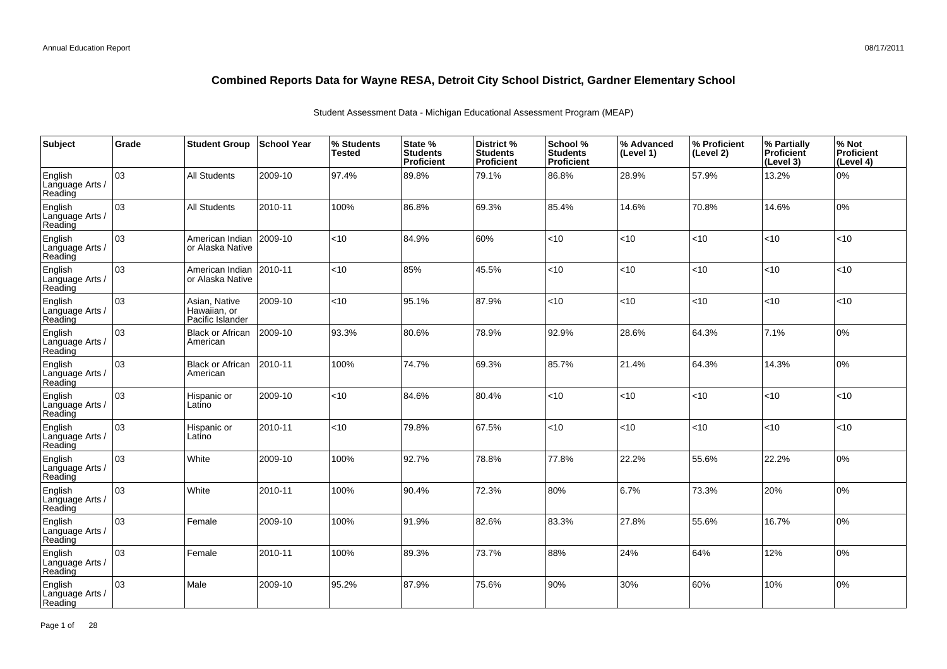| Subject                               | Grade | <b>Student Group</b>                              | <b>School Year</b> | % Students<br><b>Tested</b> | State %<br><b>Students</b><br>Proficient | District %<br><b>Students</b><br>Proficient | School %<br><b>Students</b><br><b>Proficient</b> | % Advanced<br>(Level 1) | │% Proficient<br>(Level 2) | % Partially<br>Proficient<br>(Level 3) | % Not<br>Proficient<br>(Level 4) |
|---------------------------------------|-------|---------------------------------------------------|--------------------|-----------------------------|------------------------------------------|---------------------------------------------|--------------------------------------------------|-------------------------|----------------------------|----------------------------------------|----------------------------------|
| English<br>Language Arts /<br>Reading | 03    | <b>All Students</b>                               | 2009-10            | 97.4%                       | 89.8%                                    | 79.1%                                       | 86.8%                                            | 28.9%                   | 57.9%                      | 13.2%                                  | 0%                               |
| English<br>Language Arts /<br>Reading | lоз   | <b>All Students</b>                               | 2010-11            | 100%                        | 86.8%                                    | 69.3%                                       | 85.4%                                            | 14.6%                   | 70.8%                      | 14.6%                                  | 0%                               |
| English<br>Language Arts /<br>Reading | 03    | American Indian<br>or Alaska Native               | 2009-10            | <10                         | 84.9%                                    | 60%                                         | < 10                                             | <10                     | < 10                       | < 10                                   | <10                              |
| English<br>Language Arts /<br>Reading | оз    | American Indian<br>or Alaska Native               | 2010-11            | <10                         | 85%                                      | 45.5%                                       | <10                                              | < 10                    | < 10                       | < 10                                   | <10                              |
| English<br>Language Arts /<br>Reading | 03    | Asian, Native<br>Hawaiian, or<br>Pacific Islander | 2009-10            | <10                         | 95.1%                                    | 87.9%                                       | < 10                                             | < 10                    | $<$ 10                     | < 10                                   | <10                              |
| English<br>Language Arts /<br>Reading | 03    | <b>Black or African</b><br>American               | 2009-10            | 93.3%                       | 80.6%                                    | 78.9%                                       | 92.9%                                            | 28.6%                   | 64.3%                      | 7.1%                                   | 0%                               |
| English<br>Language Arts /<br>Reading | 03    | <b>Black or African</b><br>American               | 2010-11            | 100%                        | 74.7%                                    | 69.3%                                       | 85.7%                                            | 21.4%                   | 64.3%                      | 14.3%                                  | 0%                               |
| English<br>Language Arts /<br>Reading | 03    | Hispanic or<br>Latino                             | 2009-10            | <10                         | 84.6%                                    | 80.4%                                       | <10                                              | <10                     | < 10                       | <10                                    | <10                              |
| English<br>Language Arts /<br>Reading | 03    | Hispanic or<br>Latino                             | 2010-11            | <10                         | 79.8%                                    | 67.5%                                       | < 10                                             | <10                     | < 10                       | < 10                                   | $<$ 10                           |
| English<br>Language Arts /<br>Reading | 03    | White                                             | 2009-10            | 100%                        | 92.7%                                    | 78.8%                                       | 77.8%                                            | 22.2%                   | 55.6%                      | 22.2%                                  | 0%                               |
| English<br>Language Arts /<br>Reading | lоз   | White                                             | 2010-11            | 100%                        | 90.4%                                    | 72.3%                                       | 80%                                              | 6.7%                    | 73.3%                      | 20%                                    | 0%                               |
| English<br>Language Arts /<br>Reading | 03    | Female                                            | 2009-10            | 100%                        | 91.9%                                    | 82.6%                                       | 83.3%                                            | 27.8%                   | 55.6%                      | 16.7%                                  | 0%                               |
| English<br>Language Arts /<br>Reading | 03    | Female                                            | 2010-11            | 100%                        | 89.3%                                    | 73.7%                                       | 88%                                              | 24%                     | 64%                        | 12%                                    | 0%                               |
| English<br>Language Arts /<br>Reading | 03    | Male                                              | 2009-10            | 95.2%                       | 87.9%                                    | 75.6%                                       | 90%                                              | 30%                     | 60%                        | 10%                                    | 0%                               |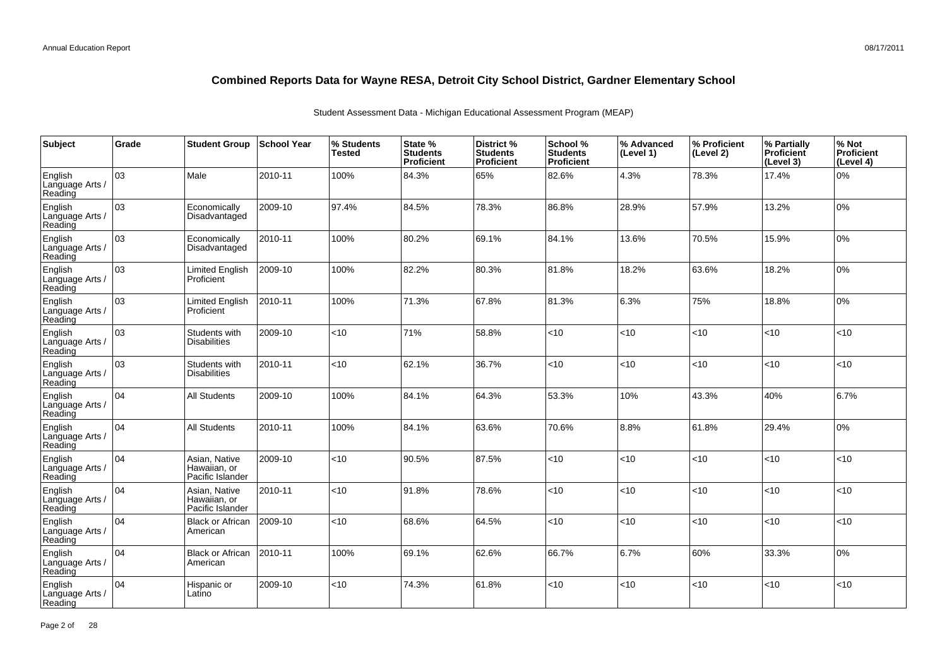| Subject                               | Grade | <b>Student Group</b>                              | <b>School Year</b> | % Students<br><b>Tested</b> | State %<br><b>Students</b><br>Proficient | District %<br><b>Students</b><br><b>Proficient</b> | School %<br><b>Students</b><br><b>Proficient</b> | % Advanced<br>(Level 1) | % Proficient<br>(Level 2) | % Partially<br><b>Proficient</b><br>(Level 3) | % Not<br>Proficient<br>(Level 4) |
|---------------------------------------|-------|---------------------------------------------------|--------------------|-----------------------------|------------------------------------------|----------------------------------------------------|--------------------------------------------------|-------------------------|---------------------------|-----------------------------------------------|----------------------------------|
| English<br>Language Arts /<br>Reading | оз    | Male                                              | 2010-11            | 100%                        | 84.3%                                    | 65%                                                | 82.6%                                            | 4.3%                    | 78.3%                     | 17.4%                                         | 0%                               |
| English<br>Language Arts /<br>Reading | lоз   | Economically<br>Disadvantaged                     | 2009-10            | 97.4%                       | 84.5%                                    | 78.3%                                              | 86.8%                                            | 28.9%                   | 57.9%                     | 13.2%                                         | 10%                              |
| English<br>Language Arts /<br>Reading | 03    | Economically<br>Disadvantaged                     | 2010-11            | 100%                        | 80.2%                                    | 69.1%                                              | 84.1%                                            | 13.6%                   | 70.5%                     | 15.9%                                         | 0%                               |
| English<br>Language Arts /<br>Reading | 03    | <b>Limited English</b><br>Proficient              | 2009-10            | 100%                        | 82.2%                                    | 80.3%                                              | 81.8%                                            | 18.2%                   | 63.6%                     | 18.2%                                         | 0%                               |
| English<br>Language Arts /<br>Reading | 03    | Limited English<br>Proficient                     | 2010-11            | 100%                        | 71.3%                                    | 67.8%                                              | 81.3%                                            | 6.3%                    | 75%                       | 18.8%                                         | 0%                               |
| English<br>Language Arts /<br>Reading | 03    | Students with<br><b>Disabilities</b>              | 2009-10            | <10                         | 71%                                      | 58.8%                                              | < 10                                             | <10                     | <10                       | <10                                           | <10                              |
| English<br>Language Arts /<br>Reading | 03    | Students with<br><b>Disabilities</b>              | 2010-11            | <10                         | 62.1%                                    | 36.7%                                              | < 10                                             | < 10                    | < 10                      | < 10                                          | < 10                             |
| English<br>Language Arts /<br>Reading | 04    | <b>All Students</b>                               | 2009-10            | 100%                        | 84.1%                                    | 64.3%                                              | 53.3%                                            | 10%                     | 43.3%                     | 40%                                           | 6.7%                             |
| English<br>Language Arts /<br>Reading | 104   | <b>All Students</b>                               | 2010-11            | 100%                        | 84.1%                                    | 63.6%                                              | 70.6%                                            | 8.8%                    | 61.8%                     | 29.4%                                         | 10%                              |
| English<br>Language Arts /<br>Reading | 104   | Asian, Native<br>Hawaiian, or<br>Pacific Islander | 2009-10            | < 10                        | 90.5%                                    | 87.5%                                              | <10                                              | <10                     | <10                       | <10                                           | <10                              |
| English<br>Language Arts /<br>Reading | 104   | Asian, Native<br>Hawaiian, or<br>Pacific Islander | 2010-11            | < 10                        | 91.8%                                    | 78.6%                                              | < 10                                             | < 10                    | < 10                      | <10                                           | <10                              |
| English<br>Language Arts /<br>Reading | 04    | <b>Black or African</b><br>American               | 2009-10            | <10                         | 68.6%                                    | 64.5%                                              | $<$ 10                                           | < 10                    | < 10                      | <10                                           | <10                              |
| English<br>Language Arts /<br>Reading | 104   | <b>Black or African</b><br>American               | 2010-11            | 100%                        | 69.1%                                    | 62.6%                                              | 66.7%                                            | 6.7%                    | 60%                       | 33.3%                                         | 0%                               |
| English<br>Language Arts<br>Reading   | 04    | Hispanic or<br>Latino                             | 2009-10            | $<$ 10                      | 74.3%                                    | 61.8%                                              | < 10                                             | < 10                    | $<$ 10                    | < 10                                          | <10                              |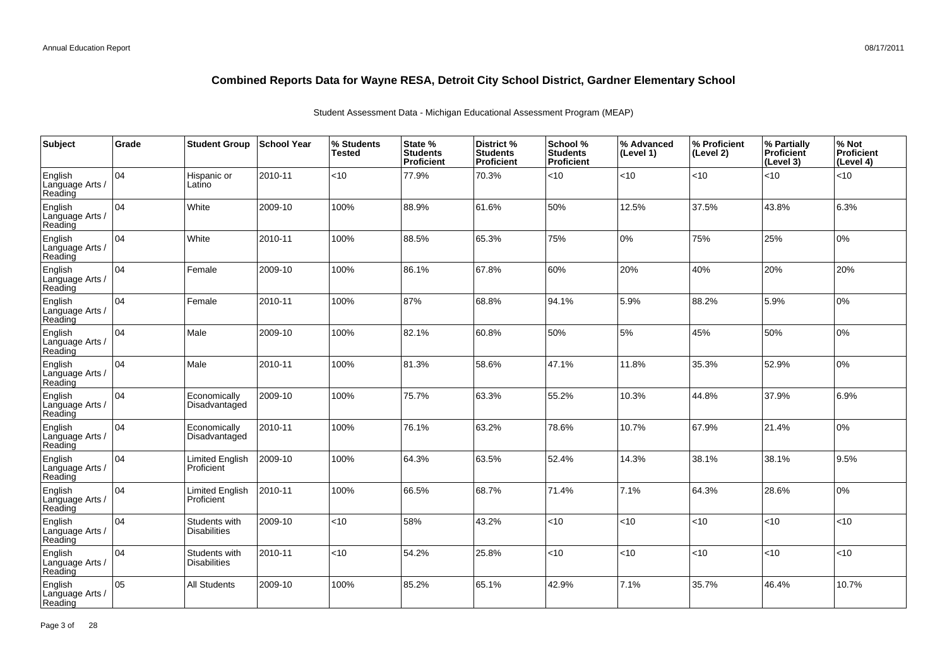| Subject                               | Grade | <b>Student Group</b>                 | School Year | % Students<br><b>Tested</b> | State %<br><b>Students</b><br>Proficient | District %<br><b>Students</b><br>Proficient | School %<br><b>Students</b><br><b>Proficient</b> | % Advanced<br>(Level 1) | % Proficient<br>(Level 2) | % Partially<br>Proficient<br>(Level 3) | % Not<br>Proficient<br>(Level 4) |
|---------------------------------------|-------|--------------------------------------|-------------|-----------------------------|------------------------------------------|---------------------------------------------|--------------------------------------------------|-------------------------|---------------------------|----------------------------------------|----------------------------------|
| English<br>Language Arts /<br>Reading | 04    | Hispanic or<br>Latino                | 2010-11     | <10                         | 77.9%                                    | 70.3%                                       | < 10                                             | <10                     | <10                       | < 10                                   | <10                              |
| English<br>Language Arts /<br>Reading | 04    | White                                | 2009-10     | 100%                        | 88.9%                                    | 61.6%                                       | 50%                                              | 12.5%                   | 37.5%                     | 43.8%                                  | 6.3%                             |
| English<br>Language Arts /<br>Reading | 04    | White                                | 2010-11     | 100%                        | 88.5%                                    | 65.3%                                       | 75%                                              | $0\%$                   | 75%                       | 25%                                    | 0%                               |
| English<br>Language Arts /<br>Reading | 04    | Female                               | 2009-10     | 100%                        | 86.1%                                    | 67.8%                                       | 60%                                              | 20%                     | 40%                       | 20%                                    | 20%                              |
| English<br>Language Arts /<br>Reading | 04    | Female                               | 2010-11     | 100%                        | 87%                                      | 68.8%                                       | 94.1%                                            | 5.9%                    | 88.2%                     | 5.9%                                   | 0%                               |
| English<br>Language Arts /<br>Reading | 04    | Male                                 | 2009-10     | 100%                        | 82.1%                                    | 60.8%                                       | 50%                                              | 5%                      | 45%                       | 50%                                    | 0%                               |
| English<br>Language Arts /<br>Reading | 04    | Male                                 | 2010-11     | 100%                        | 81.3%                                    | 58.6%                                       | 47.1%                                            | 11.8%                   | 35.3%                     | 52.9%                                  | 0%                               |
| English<br>Language Arts<br>Reading   | 04    | Economically<br>Disadvantaged        | 2009-10     | 100%                        | 75.7%                                    | 63.3%                                       | 55.2%                                            | 10.3%                   | 44.8%                     | 37.9%                                  | 6.9%                             |
| English<br>Language Arts<br>Reading   | 04    | Economically<br>Disadvantaged        | 2010-11     | 100%                        | 76.1%                                    | 63.2%                                       | 78.6%                                            | 10.7%                   | 67.9%                     | 21.4%                                  | 0%                               |
| English<br>Language Arts /<br>Reading | 04    | Limited English<br>Proficient        | 2009-10     | 100%                        | 64.3%                                    | 63.5%                                       | 52.4%                                            | 14.3%                   | 38.1%                     | 38.1%                                  | 9.5%                             |
| English<br>Language Arts<br>Reading   | 04    | <b>Limited English</b><br>Proficient | 2010-11     | 100%                        | 66.5%                                    | 68.7%                                       | 71.4%                                            | 7.1%                    | 64.3%                     | 28.6%                                  | 0%                               |
| English<br>Language Arts<br>Reading   | 04    | Students with<br><b>Disabilities</b> | 2009-10     | $<$ 10                      | 58%                                      | 43.2%                                       | < 10                                             | <10                     | < 10                      | < 10                                   | <10                              |
| English<br>Language Arts<br>Reading   | 04    | Students with<br><b>Disabilities</b> | 2010-11     | $<$ 10                      | 54.2%                                    | 25.8%                                       | < 10                                             | <10                     | < 10                      | $ $ < 10                               | <10                              |
| English<br>Language Arts<br>Reading   | 05    | All Students                         | 2009-10     | 100%                        | 85.2%                                    | 65.1%                                       | 42.9%                                            | 7.1%                    | 35.7%                     | 46.4%                                  | 10.7%                            |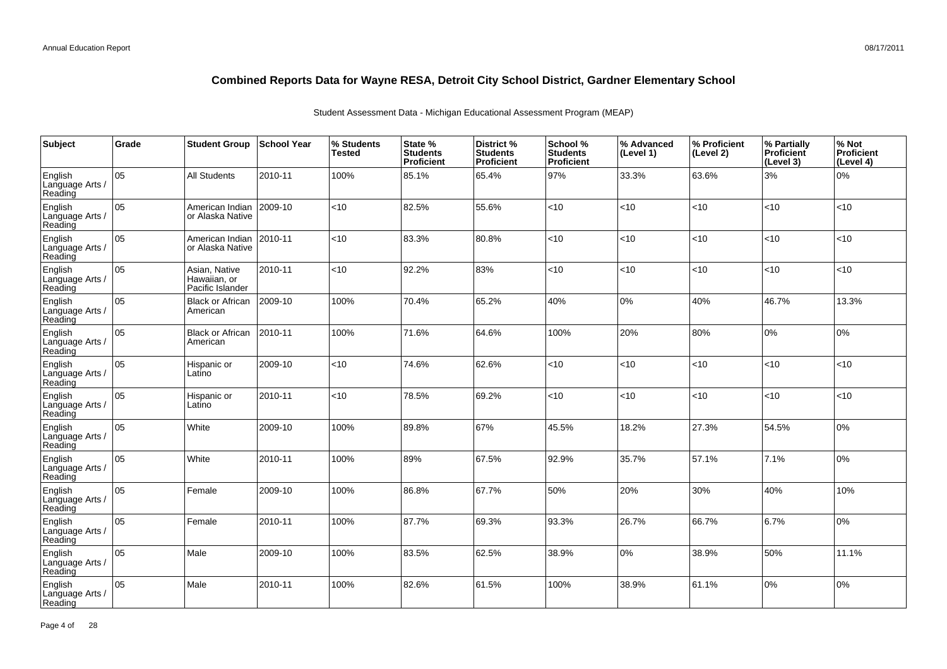| <b>Subject</b>                        | Grade | <b>Student Group</b>                              | School Year | % Students<br><b>Tested</b> | State %<br><b>Students</b><br>Proficient | District %<br><b>Students</b><br><b>Proficient</b> | School %<br><b>Students</b><br><b>Proficient</b> | % Advanced<br>(Level 1) | % Proficient<br>(Level 2) | % Partially<br>Proficient<br>(Level 3) | % Not<br>Proficient<br>(Level 4) |
|---------------------------------------|-------|---------------------------------------------------|-------------|-----------------------------|------------------------------------------|----------------------------------------------------|--------------------------------------------------|-------------------------|---------------------------|----------------------------------------|----------------------------------|
| English<br>Language Arts /<br>Reading | 05    | <b>All Students</b>                               | 2010-11     | 100%                        | 85.1%                                    | 65.4%                                              | 97%                                              | 33.3%                   | 63.6%                     | 3%                                     | 0%                               |
| English<br>Language Arts /<br>Reading | 05    | American Indian<br>or Alaska Native               | 2009-10     | <10                         | 82.5%                                    | 55.6%                                              | < 10                                             | <10                     | <10                       | < 10                                   | <10                              |
| English<br>Language Arts /<br>Reading | 05    | American Indian<br>or Alaska Native               | 2010-11     | <10                         | 83.3%                                    | 80.8%                                              | < 10                                             | <10                     | $<$ 10                    | < 10                                   | <10                              |
| English<br>Language Arts /<br>Reading | 05    | Asian, Native<br>Hawaiian, or<br>Pacific Islander | 2010-11     | <10                         | 92.2%                                    | 83%                                                | <10                                              | <10                     | $10^{-1}$                 | <10                                    | <10                              |
| English<br>Language Arts /<br>Reading | 05    | <b>Black or African</b><br>American               | 2009-10     | 100%                        | 70.4%                                    | 65.2%                                              | 40%                                              | 0%                      | 40%                       | 46.7%                                  | 13.3%                            |
| English<br>Language Arts<br>Reading   | 05    | <b>Black or African</b><br>American               | 2010-11     | 100%                        | 71.6%                                    | 64.6%                                              | 100%                                             | 20%                     | 80%                       | $ 0\%$                                 | 0%                               |
| English<br>Language Arts /<br>Reading | 05    | Hispanic or<br>Latino                             | 2009-10     | $<$ 10                      | 74.6%                                    | 62.6%                                              | < 10                                             | <10                     | <10                       | < 10                                   | <10                              |
| English<br>Language Arts<br>Reading   | 05    | Hispanic or<br>Latino                             | 2010-11     | <10                         | 78.5%                                    | 69.2%                                              | <10                                              | <10                     | $10^{-1}$                 | <10                                    | <10                              |
| English<br>Language Arts<br>Reading   | lo5   | White                                             | 2009-10     | 100%                        | 89.8%                                    | 67%                                                | 45.5%                                            | 18.2%                   | 27.3%                     | 54.5%                                  | 0%                               |
| English<br>Language Arts<br>Reading   | 05    | White                                             | 2010-11     | 100%                        | 89%                                      | 67.5%                                              | 92.9%                                            | 35.7%                   | 57.1%                     | 7.1%                                   | 0%                               |
| English<br>Language Arts<br>Reading   | 05    | Female                                            | 2009-10     | 100%                        | 86.8%                                    | 67.7%                                              | 50%                                              | 20%                     | 30%                       | 40%                                    | 10%                              |
| English<br>Language Arts<br>Reading   | 05    | Female                                            | 2010-11     | 100%                        | 87.7%                                    | 69.3%                                              | 93.3%                                            | 26.7%                   | 66.7%                     | 6.7%                                   | 0%                               |
| English<br>Language Arts<br>Reading   | lo5   | Male                                              | 2009-10     | 100%                        | 83.5%                                    | 62.5%                                              | 38.9%                                            | 0%                      | 38.9%                     | 50%                                    | 11.1%                            |
| English<br>Language Arts<br>Reading   | 05    | Male                                              | 2010-11     | 100%                        | 82.6%                                    | 61.5%                                              | 100%                                             | 38.9%                   | 61.1%                     | 0%                                     | 0%                               |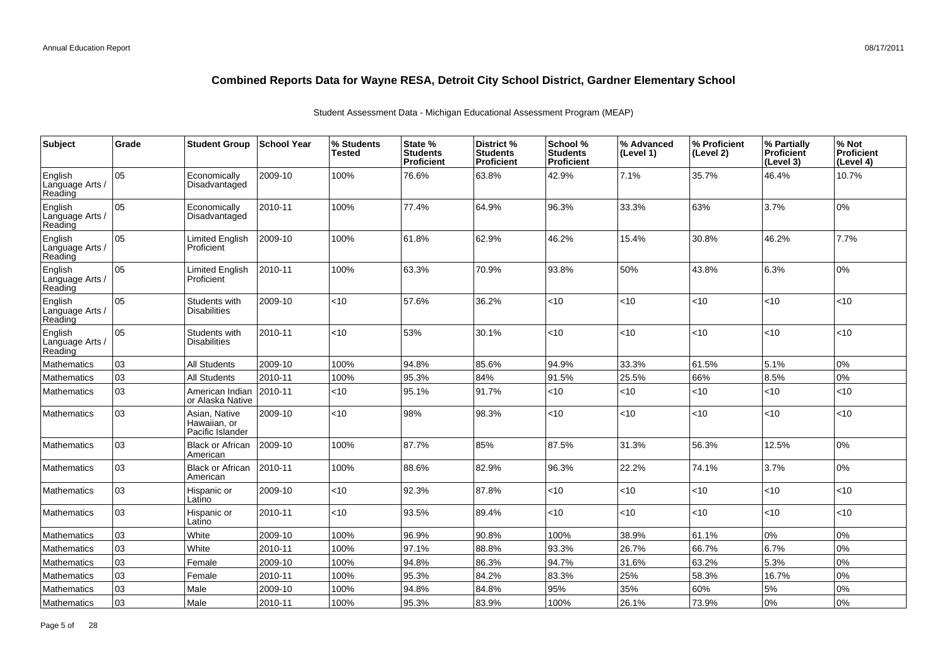| Subject                               | Grade | <b>Student Group</b>                              | <b>School Year</b> | % Students<br><b>Tested</b> | State %<br><b>Students</b><br><b>Proficient</b> | District %<br><b>Students</b><br><b>Proficient</b> | School %<br><b>Students</b><br><b>Proficient</b> | % Advanced<br>(Level 1) | % Proficient<br>(Level 2) | % Partially<br>Proficient<br>(Level 3) | % Not<br><b>Proficient</b><br>(Level 4) |
|---------------------------------------|-------|---------------------------------------------------|--------------------|-----------------------------|-------------------------------------------------|----------------------------------------------------|--------------------------------------------------|-------------------------|---------------------------|----------------------------------------|-----------------------------------------|
| English<br>Language Arts /<br>Reading | 05    | Economically<br>Disadvantaged                     | 2009-10            | 100%                        | 76.6%                                           | 63.8%                                              | 42.9%                                            | 7.1%                    | 35.7%                     | 46.4%                                  | 10.7%                                   |
| English<br>Language Arts /<br>Reading | 05    | Economically<br>Disadvantaged                     | 2010-11            | 100%                        | 77.4%                                           | 64.9%                                              | 96.3%                                            | 33.3%                   | 63%                       | 3.7%                                   | 0%                                      |
| English<br>Language Arts /<br>Reading | 05    | <b>Limited English</b><br>Proficient              | 2009-10            | 100%                        | 61.8%                                           | 62.9%                                              | 46.2%                                            | 15.4%                   | 30.8%                     | 46.2%                                  | 7.7%                                    |
| English<br>Language Arts<br>Reading   | 05    | <b>Limited English</b><br>Proficient              | 2010-11            | 100%                        | 63.3%                                           | 70.9%                                              | 93.8%                                            | 50%                     | 43.8%                     | 6.3%                                   | 0%                                      |
| English<br>Language Arts<br>Reading   | 05    | Students with<br><b>Disabilities</b>              | 2009-10            | $<$ 10                      | 57.6%                                           | 36.2%                                              | $<$ 10                                           | <10                     | <10                       | $<$ 10                                 | <10                                     |
| English<br>Language Arts<br>Reading   | 05    | Students with<br><b>Disabilities</b>              | 2010-11            | < 10                        | 53%                                             | 30.1%                                              | <10                                              | <10                     | <10                       | < 10                                   | <10                                     |
| Mathematics                           | 03    | <b>All Students</b>                               | 2009-10            | 100%                        | 94.8%                                           | 85.6%                                              | 94.9%                                            | 33.3%                   | 61.5%                     | 5.1%                                   | 0%                                      |
| <b>Mathematics</b>                    | 03    | <b>All Students</b>                               | 2010-11            | 100%                        | 95.3%                                           | 84%                                                | 91.5%                                            | 25.5%                   | 66%                       | 8.5%                                   | 0%                                      |
| <b>Mathematics</b>                    | 03    | American Indian<br>or Alaska Native               | 2010-11            | <10                         | 95.1%                                           | 91.7%                                              | < 10                                             | <10                     | <10                       | $<$ 10                                 | <10                                     |
| <b>Mathematics</b>                    | 03    | Asian, Native<br>Hawaiian, or<br>Pacific Islander | 2009-10            | < 10                        | 98%                                             | 98.3%                                              | < 10                                             | <10                     | <10                       | <10                                    | <10                                     |
| <b>Mathematics</b>                    | 03    | <b>Black or African</b><br>American               | 2009-10            | 100%                        | 87.7%                                           | 85%                                                | 87.5%                                            | 31.3%                   | 56.3%                     | 12.5%                                  | 0%                                      |
| Mathematics                           | 03    | <b>Black or African</b><br>American               | 2010-11            | 100%                        | 88.6%                                           | 82.9%                                              | 96.3%                                            | 22.2%                   | 74.1%                     | 3.7%                                   | 0%                                      |
| Mathematics                           | 03    | Hispanic or<br>Latino                             | 2009-10            | $<$ 10                      | 92.3%                                           | 87.8%                                              | $<$ 10                                           | <10                     | <10                       | $<$ 10                                 | <10                                     |
| Mathematics                           | 03    | Hispanic or<br>Latino                             | 2010-11            | <10                         | 93.5%                                           | 89.4%                                              | $<$ 10                                           | <10                     | <10                       | $ $ < 10                               | <10                                     |
| Mathematics                           | 03    | White                                             | 2009-10            | 100%                        | 96.9%                                           | 90.8%                                              | 100%                                             | 38.9%                   | 61.1%                     | 0%                                     | 0%                                      |
| <b>Mathematics</b>                    | 03    | White                                             | 2010-11            | 100%                        | 97.1%                                           | 88.8%                                              | 93.3%                                            | 26.7%                   | 66.7%                     | 6.7%                                   | 0%                                      |
| Mathematics                           | 03    | Female                                            | 2009-10            | 100%                        | 94.8%                                           | 86.3%                                              | 94.7%                                            | 31.6%                   | 63.2%                     | 5.3%                                   | 0%                                      |
| <b>Mathematics</b>                    | 03    | Female                                            | 2010-11            | 100%                        | 95.3%                                           | 84.2%                                              | 83.3%                                            | 25%                     | 58.3%                     | 16.7%                                  | 0%                                      |
| Mathematics                           | 03    | Male                                              | 2009-10            | 100%                        | 94.8%                                           | 84.8%                                              | 95%                                              | 35%                     | 60%                       | 5%                                     | 0%                                      |
| Mathematics                           | 03    | Male                                              | 2010-11            | 100%                        | 95.3%                                           | 83.9%                                              | 100%                                             | 26.1%                   | 73.9%                     | 0%                                     | 0%                                      |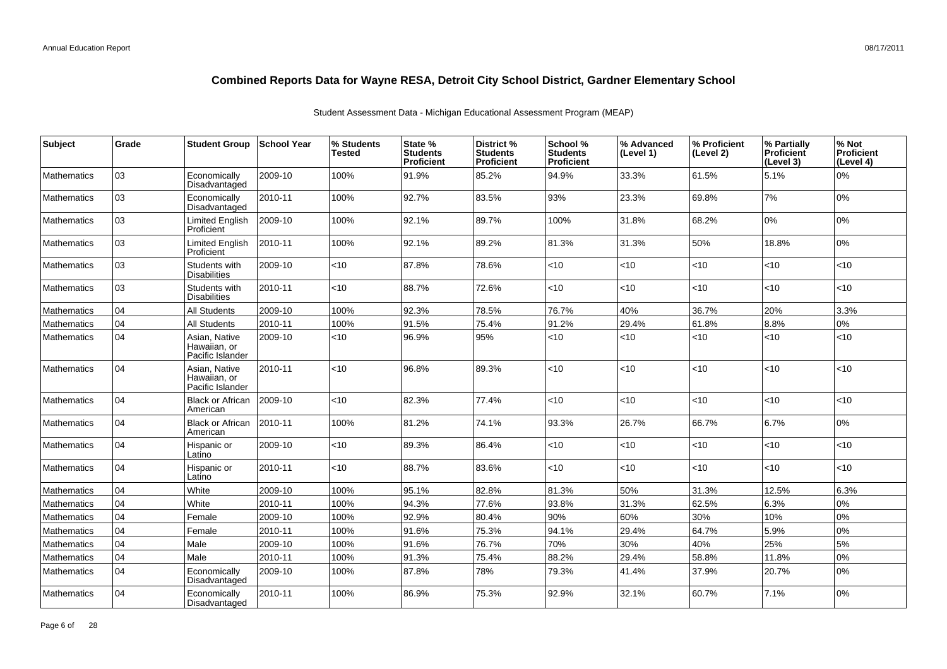| <b>Subject</b>     | Grade | <b>Student Group</b>                              | ∣School Year | % Students<br>Tested | State %<br><b>Students</b><br>Proficient | District %<br><b>Students</b><br><b>Proficient</b> | School %<br><b>Students</b><br><b>Proficient</b> | % Advanced<br>(Level 1) | % Proficient<br>(Level 2) | % Partially<br><b>Proficient</b><br>(Level 3) | % Not<br>Proficient<br>(Level 4) |
|--------------------|-------|---------------------------------------------------|--------------|----------------------|------------------------------------------|----------------------------------------------------|--------------------------------------------------|-------------------------|---------------------------|-----------------------------------------------|----------------------------------|
| <b>Mathematics</b> | 03    | Economically<br>Disadvantaged                     | 2009-10      | 100%                 | 91.9%                                    | 85.2%                                              | 94.9%                                            | 33.3%                   | 61.5%                     | 5.1%                                          | 0%                               |
| <b>Mathematics</b> | 03    | Economically<br>Disadvantaged                     | 2010-11      | 100%                 | 92.7%                                    | 83.5%                                              | 93%                                              | 23.3%                   | 69.8%                     | 7%                                            | 0%                               |
| <b>Mathematics</b> | 03    | <b>Limited English</b><br>Proficient              | 2009-10      | 100%                 | 92.1%                                    | 89.7%                                              | 100%                                             | 31.8%                   | 68.2%                     | 0%                                            | 0%                               |
| <b>Mathematics</b> | 03    | <b>Limited English</b><br>Proficient              | 2010-11      | 100%                 | 92.1%                                    | 89.2%                                              | 81.3%                                            | 31.3%                   | 50%                       | 18.8%                                         | 0%                               |
| <b>Mathematics</b> | 03    | Students with<br><b>Disabilities</b>              | 2009-10      | $<$ 10               | 87.8%                                    | 78.6%                                              | <10                                              | <10                     | <10                       | < 10                                          | $<$ 10                           |
| <b>Mathematics</b> | 03    | Students with<br><b>Disabilities</b>              | 2010-11      | <10                  | 88.7%                                    | 72.6%                                              | $<$ 10                                           | $<$ 10                  | $<$ 10                    | $<$ 10                                        | < 10                             |
| Mathematics        | 04    | All Students                                      | 2009-10      | 100%                 | 92.3%                                    | 78.5%                                              | 76.7%                                            | 40%                     | 36.7%                     | 20%                                           | 3.3%                             |
| <b>Mathematics</b> | 04    | <b>All Students</b>                               | 2010-11      | 100%                 | 91.5%                                    | 75.4%                                              | 91.2%                                            | 29.4%                   | 61.8%                     | 8.8%                                          | 0%                               |
| <b>Mathematics</b> | 04    | Asian, Native<br>Hawaiian, or<br>Pacific Islander | 2009-10      | $<$ 10               | 96.9%                                    | 95%                                                | < 10                                             | <10                     | < 10                      | < 10                                          | < 10                             |
| <b>Mathematics</b> | 04    | Asian, Native<br>Hawaiian, or<br>Pacific Islander | 2010-11      | $<$ 10               | 96.8%                                    | 89.3%                                              | < 10                                             | < 10                    | < 10                      | <10                                           | < 10                             |
| <b>Mathematics</b> | 04    | <b>Black or African</b><br>American               | 2009-10      | $<$ 10               | 82.3%                                    | 77.4%                                              | < 10                                             | <10                     | <10                       | $<$ 10                                        | < 10                             |
| <b>Mathematics</b> | 04    | <b>Black or African</b><br>American               | 2010-11      | 100%                 | 81.2%                                    | 74.1%                                              | 93.3%                                            | 26.7%                   | 66.7%                     | 6.7%                                          | 0%                               |
| <b>Mathematics</b> | 104   | Hispanic or<br>Latino                             | 2009-10      | $<$ 10               | 89.3%                                    | 86.4%                                              | < 10                                             | <10                     | < 10                      | <10                                           | <10                              |
| <b>Mathematics</b> | 04    | Hispanic or<br>Latino                             | 2010-11      | <10                  | 88.7%                                    | 83.6%                                              | <10                                              | <10                     | <10                       | $<$ 10                                        | < 10                             |
| Mathematics        | 04    | White                                             | 2009-10      | 100%                 | 95.1%                                    | 82.8%                                              | 81.3%                                            | 50%                     | 31.3%                     | 12.5%                                         | 6.3%                             |
| <b>Mathematics</b> | 04    | White                                             | 2010-11      | 100%                 | 94.3%                                    | 77.6%                                              | 93.8%                                            | 31.3%                   | 62.5%                     | 6.3%                                          | 0%                               |
| <b>Mathematics</b> | 04    | Female                                            | 2009-10      | 100%                 | 92.9%                                    | 80.4%                                              | 90%                                              | 60%                     | 30%                       | 10%                                           | 0%                               |
| <b>Mathematics</b> | 04    | Female                                            | 2010-11      | 100%                 | 91.6%                                    | 75.3%                                              | 94.1%                                            | 29.4%                   | 64.7%                     | 5.9%                                          | 0%                               |
| Mathematics        | 04    | Male                                              | 2009-10      | 100%                 | 91.6%                                    | 76.7%                                              | 70%                                              | 30%                     | 40%                       | 25%                                           | 5%                               |
| <b>Mathematics</b> | 04    | Male                                              | 2010-11      | 100%                 | 91.3%                                    | 75.4%                                              | 88.2%                                            | 29.4%                   | 58.8%                     | 11.8%                                         | 0%                               |
| <b>Mathematics</b> | 04    | Economically<br>Disadvantaged                     | 2009-10      | 100%                 | 87.8%                                    | 78%                                                | 79.3%                                            | 41.4%                   | 37.9%                     | 20.7%                                         | 0%                               |
| <b>Mathematics</b> | 04    | Economically<br>Disadvantaged                     | 2010-11      | 100%                 | 86.9%                                    | 75.3%                                              | 92.9%                                            | 32.1%                   | 60.7%                     | 7.1%                                          | 0%                               |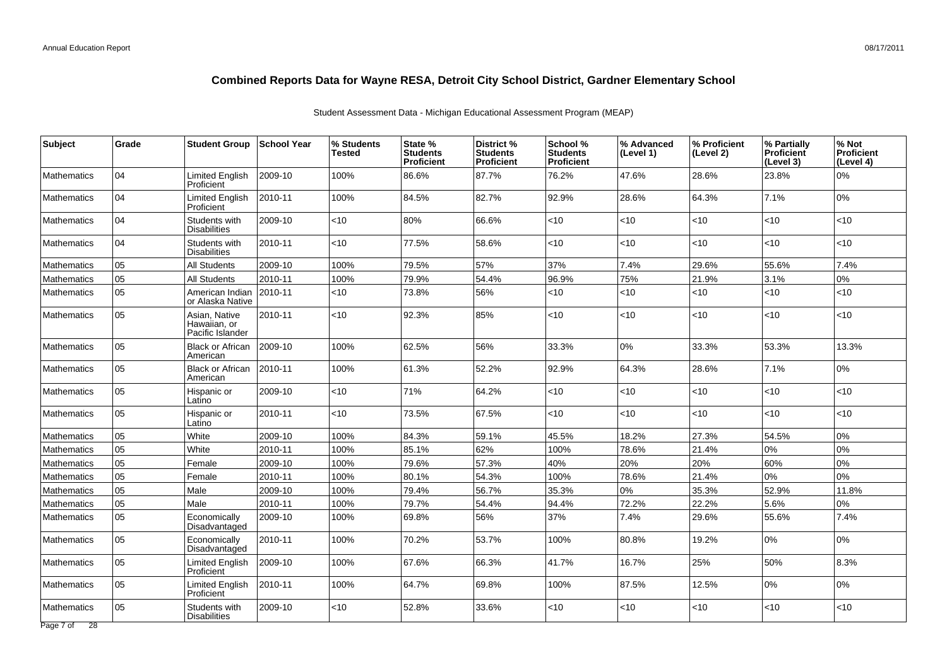| Subject            | Grade | <b>Student Group</b>                              | School Year | % Students<br>Tested | State %<br><b>Students</b><br><b>Proficient</b> | District %<br><b>Students</b><br><b>Proficient</b> | School %<br><b>Students</b><br><b>Proficient</b> | % Advanced<br>(Level 1) | % Proficient<br>(Level 2) | % Partially<br><b>Proficient</b><br>(Level 3) | % Not<br>Proficient<br>(Level 4) |
|--------------------|-------|---------------------------------------------------|-------------|----------------------|-------------------------------------------------|----------------------------------------------------|--------------------------------------------------|-------------------------|---------------------------|-----------------------------------------------|----------------------------------|
| <b>Mathematics</b> | 04    | <b>Limited English</b><br>Proficient              | 2009-10     | 100%                 | 86.6%                                           | 87.7%                                              | 76.2%                                            | 47.6%                   | 28.6%                     | 23.8%                                         | 0%                               |
| <b>Mathematics</b> | 04    | <b>Limited English</b><br>Proficient              | 2010-11     | 100%                 | 84.5%                                           | 82.7%                                              | 92.9%                                            | 28.6%                   | 64.3%                     | 7.1%                                          | 0%                               |
| <b>Mathematics</b> | 04    | Students with<br><b>Disabilities</b>              | 2009-10     | $<$ 10               | 80%                                             | 66.6%                                              | <10                                              | $<$ 10                  | $<$ 10                    | < 10                                          | <10                              |
| <b>Mathematics</b> | 04    | Students with<br><b>Disabilities</b>              | 2010-11     | <10                  | 77.5%                                           | 58.6%                                              | < 10                                             | <10                     | <10                       | <10                                           | <10                              |
| Mathematics        | 05    | All Students                                      | 2009-10     | 100%                 | 79.5%                                           | 57%                                                | 37%                                              | 7.4%                    | 29.6%                     | 55.6%                                         | 7.4%                             |
| <b>Mathematics</b> | 05    | All Students                                      | 2010-11     | 100%                 | 79.9%                                           | 54.4%                                              | 96.9%                                            | 75%                     | 21.9%                     | 3.1%                                          | 0%                               |
| <b>Mathematics</b> | 05    | American Indian<br>or Alaska Native               | 2010-11     | <10                  | 73.8%                                           | 56%                                                | < 10                                             | < 10                    | <10                       | $<10$                                         | <10                              |
| <b>Mathematics</b> | 05    | Asian, Native<br>Hawaiian, or<br>Pacific Islander | 2010-11     | <10                  | 92.3%                                           | 85%                                                | <10                                              | <10                     | <10                       | <10                                           | <10                              |
| <b>Mathematics</b> | 05    | <b>Black or African</b><br>American               | 2009-10     | 100%                 | 62.5%                                           | 56%                                                | 33.3%                                            | 0%                      | 33.3%                     | 53.3%                                         | 13.3%                            |
| <b>Mathematics</b> | 05    | <b>Black or African</b><br>American               | 2010-11     | 100%                 | 61.3%                                           | 52.2%                                              | 92.9%                                            | 64.3%                   | 28.6%                     | 7.1%                                          | 0%                               |
| <b>Mathematics</b> | 05    | Hispanic or<br>Latino                             | 2009-10     | <10                  | 71%                                             | 64.2%                                              | <10                                              | $<$ 10                  | <10                       | $<10$                                         | <10                              |
| <b>Mathematics</b> | 05    | Hispanic or<br>Latino                             | 2010-11     | <10                  | 73.5%                                           | 67.5%                                              | <10                                              | $<$ 10                  | $<$ 10                    | < 10                                          | <10                              |
| <b>Mathematics</b> | 05    | White                                             | 2009-10     | 100%                 | 84.3%                                           | 59.1%                                              | 45.5%                                            | 18.2%                   | 27.3%                     | 54.5%                                         | 0%                               |
| <b>Mathematics</b> | 05    | White                                             | 2010-11     | 100%                 | 85.1%                                           | 62%                                                | 100%                                             | 78.6%                   | 21.4%                     | 0%                                            | 0%                               |
| <b>Mathematics</b> | 05    | Female                                            | 2009-10     | 100%                 | 79.6%                                           | 57.3%                                              | 40%                                              | 20%                     | 20%                       | 60%                                           | 0%                               |
| <b>Mathematics</b> | 05    | Female                                            | 2010-11     | 100%                 | 80.1%                                           | 54.3%                                              | 100%                                             | 78.6%                   | 21.4%                     | 0%                                            | 0%                               |
| <b>Mathematics</b> | 05    | Male                                              | 2009-10     | 100%                 | 79.4%                                           | 56.7%                                              | 35.3%                                            | 0%                      | 35.3%                     | 52.9%                                         | 11.8%                            |
| <b>Mathematics</b> | 05    | Male                                              | 2010-11     | 100%                 | 79.7%                                           | 54.4%                                              | 94.4%                                            | 72.2%                   | 22.2%                     | 5.6%                                          | 0%                               |
| <b>Mathematics</b> | 05    | Economically<br>Disadvantaged                     | 2009-10     | 100%                 | 69.8%                                           | 56%                                                | 37%                                              | 7.4%                    | 29.6%                     | 55.6%                                         | 7.4%                             |
| <b>Mathematics</b> | 05    | Economically<br>Disadvantaged                     | 2010-11     | 100%                 | 70.2%                                           | 53.7%                                              | 100%                                             | 80.8%                   | 19.2%                     | 0%                                            | 0%                               |
| <b>Mathematics</b> | 05    | <b>Limited English</b><br>Proficient              | 2009-10     | 100%                 | 67.6%                                           | 66.3%                                              | 41.7%                                            | 16.7%                   | 25%                       | 50%                                           | 8.3%                             |
| <b>Mathematics</b> | 05    | Limited English<br>Proficient                     | 2010-11     | 100%                 | 64.7%                                           | 69.8%                                              | 100%                                             | 87.5%                   | 12.5%                     | 0%                                            | 0%                               |
| Mathematics        | 05    | Students with<br><b>Disabilities</b>              | 2009-10     | $<$ 10               | 52.8%                                           | 33.6%                                              | <10                                              | <10                     | <10                       | <10                                           | <10                              |
| Page 7 of 28       |       |                                                   |             |                      |                                                 |                                                    |                                                  |                         |                           |                                               |                                  |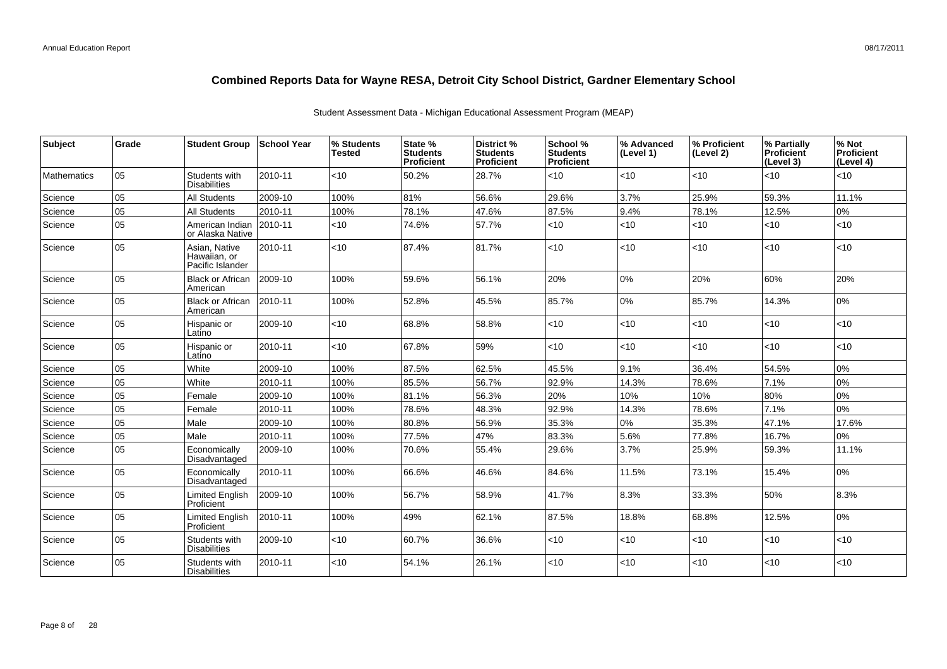| <b>Subject</b>     | Grade | <b>Student Group</b>                              | School Year | % Students<br>Tested | State %<br><b>Students</b><br>Proficient | District %<br><b>Students</b><br><b>Proficient</b> | School %<br><b>Students</b><br><b>Proficient</b> | % Advanced<br>(Level 1) | % Proficient<br>(Level 2) | % Partially<br><b>Proficient</b><br>(Level 3) | % Not<br>Proficient<br>(Level 4) |
|--------------------|-------|---------------------------------------------------|-------------|----------------------|------------------------------------------|----------------------------------------------------|--------------------------------------------------|-------------------------|---------------------------|-----------------------------------------------|----------------------------------|
| <b>Mathematics</b> | 05    | Students with<br><b>Disabilities</b>              | 2010-11     | < 10                 | 50.2%                                    | 28.7%                                              | <10                                              | <10                     | <10                       | < 10                                          | <10                              |
| Science            | 05    | <b>All Students</b>                               | 2009-10     | 100%                 | 81%                                      | 56.6%                                              | 29.6%                                            | 3.7%                    | 25.9%                     | 59.3%                                         | 11.1%                            |
| Science            | 05    | <b>All Students</b>                               | 2010-11     | 100%                 | 78.1%                                    | 47.6%                                              | 87.5%                                            | 9.4%                    | 78.1%                     | 12.5%                                         | 0%                               |
| Science            | 05    | American Indian<br>or Alaska Native               | 2010-11     | <10                  | 74.6%                                    | 57.7%                                              | $<$ 10                                           | $<$ 10                  | $<$ 10                    | < 10                                          | <10                              |
| Science            | 05    | Asian, Native<br>Hawaiian, or<br>Pacific Islander | 2010-11     | < 10                 | 87.4%                                    | 81.7%                                              | <10                                              | < 10                    | <10                       | < 10                                          | <10                              |
| Science            | 05    | <b>Black or African</b><br>American               | 2009-10     | 100%                 | 59.6%                                    | 56.1%                                              | 20%                                              | 0%                      | 20%                       | 60%                                           | 20%                              |
| Science            | 05    | <b>Black or African</b><br>American               | 2010-11     | 100%                 | 52.8%                                    | 45.5%                                              | 85.7%                                            | 0%                      | 85.7%                     | 14.3%                                         | 0%                               |
| Science            | 05    | Hispanic or<br>Latino                             | 2009-10     | < 10                 | 68.8%                                    | 58.8%                                              | < 10                                             | $<$ 10                  | < 10                      | < 10                                          | <10                              |
| Science            | 05    | Hispanic or<br>Latino                             | 2010-11     | $<$ 10               | 67.8%                                    | 59%                                                | $<$ 10                                           | <10                     | <10                       | < 10                                          | <10                              |
| Science            | 05    | White                                             | 2009-10     | 100%                 | 87.5%                                    | 62.5%                                              | 45.5%                                            | 9.1%                    | 36.4%                     | 54.5%                                         | 0%                               |
| Science            | 05    | White                                             | 2010-11     | 100%                 | 85.5%                                    | 56.7%                                              | 92.9%                                            | 14.3%                   | 78.6%                     | 7.1%                                          | 0%                               |
| Science            | 05    | Female                                            | 2009-10     | 100%                 | 81.1%                                    | 56.3%                                              | 20%                                              | 10%                     | 10%                       | 80%                                           | 0%                               |
| Science            | 05    | Female                                            | 2010-11     | 100%                 | 78.6%                                    | 48.3%                                              | 92.9%                                            | 14.3%                   | 78.6%                     | 7.1%                                          | 0%                               |
| Science            | 05    | Male                                              | 2009-10     | 100%                 | 80.8%                                    | 56.9%                                              | 35.3%                                            | 0%                      | 35.3%                     | 47.1%                                         | 17.6%                            |
| Science            | 05    | Male                                              | 2010-11     | 100%                 | 77.5%                                    | 47%                                                | 83.3%                                            | 5.6%                    | 77.8%                     | 16.7%                                         | 0%                               |
| Science            | 05    | Economically<br>Disadvantaged                     | 2009-10     | 100%                 | 70.6%                                    | 55.4%                                              | 29.6%                                            | 3.7%                    | 25.9%                     | 59.3%                                         | 11.1%                            |
| Science            | 05    | Economically<br>Disadvantaged                     | 2010-11     | 100%                 | 66.6%                                    | 46.6%                                              | 84.6%                                            | 11.5%                   | 73.1%                     | 15.4%                                         | 0%                               |
| Science            | 05    | Limited English<br>Proficient                     | 2009-10     | 100%                 | 56.7%                                    | 58.9%                                              | 41.7%                                            | 8.3%                    | 33.3%                     | 50%                                           | 8.3%                             |
| Science            | 05    | <b>Limited English</b><br>Proficient              | 2010-11     | 100%                 | 49%                                      | 62.1%                                              | 87.5%                                            | 18.8%                   | 68.8%                     | 12.5%                                         | 0%                               |
| Science            | 05    | Students with<br><b>Disabilities</b>              | 2009-10     | <10                  | 60.7%                                    | 36.6%                                              | <10                                              | $<$ 10                  | <10                       | < 10                                          | <10                              |
| Science            | 05    | Students with<br><b>Disabilities</b>              | 2010-11     | < 10                 | 54.1%                                    | 26.1%                                              | <10                                              | $<$ 10                  | $<$ 10                    | < 10                                          | <10                              |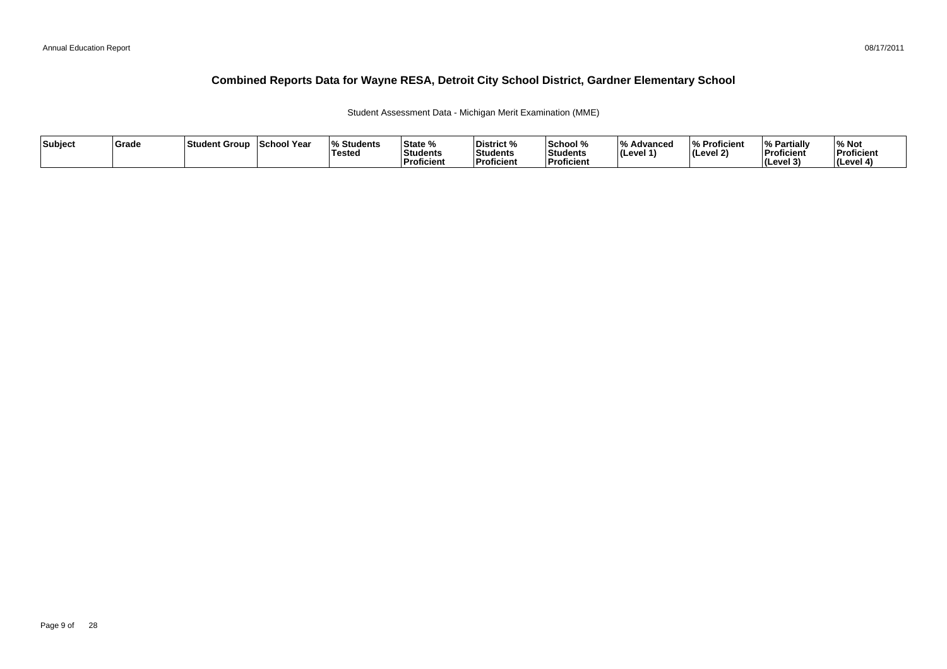Student Assessment Data - Michigan Merit Examination (MME)

| Subject | Grade | ⊺Student Group | School Year | <b>Students</b><br><b>Tested</b> | State %<br>Students<br>∣Proficient | District %<br><b>Students</b><br><b>Proficient</b> | School %<br>Students<br><b>Proficien</b> | 1 O /<br>Advanced<br>$ $ (Level 1) | % Proficient<br>(Level 2) | <sup>1</sup> % Partially<br>Proficient<br>$ $ (Level 3) | % Not<br>Proficient<br>(Level 4) |
|---------|-------|----------------|-------------|----------------------------------|------------------------------------|----------------------------------------------------|------------------------------------------|------------------------------------|---------------------------|---------------------------------------------------------|----------------------------------|
|---------|-------|----------------|-------------|----------------------------------|------------------------------------|----------------------------------------------------|------------------------------------------|------------------------------------|---------------------------|---------------------------------------------------------|----------------------------------|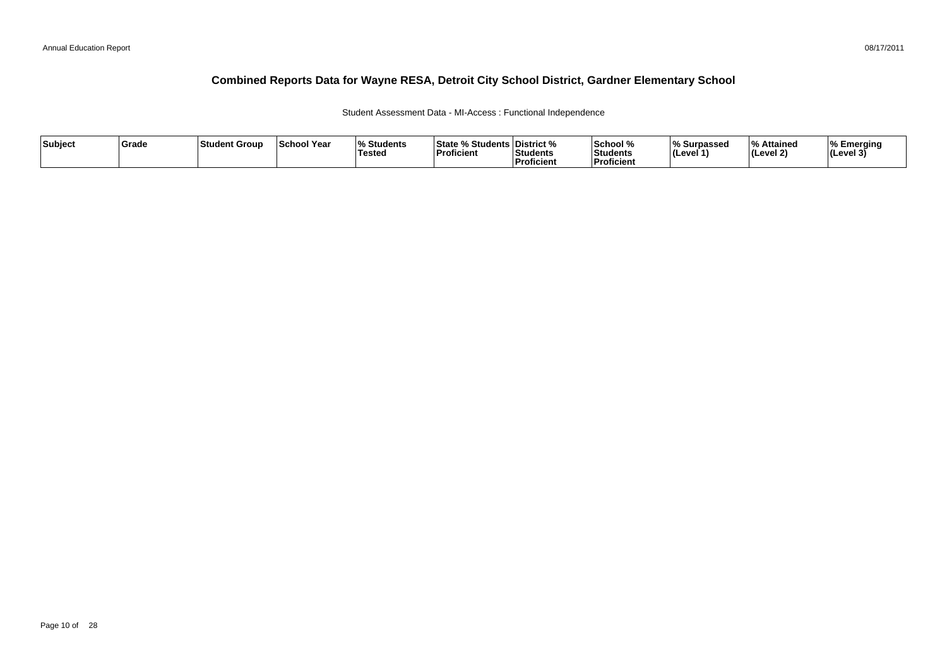Student Assessment Data - MI-Access : Functional Independence

| Subject | Grade | <b>Student Group</b> | School Year | <b>Students</b><br>Tested | <b>State % Students District %</b><br>Proficient | <b>Students</b><br><b>Proficient</b> | 'School %<br><b>Students</b><br>Proficient | Surpassed<br>$ $ (Level 1 | l 0/<br><b>Attained</b><br>(Level 2) | ا Emerging<br>$ $ (Level 3 <sup>'</sup> |
|---------|-------|----------------------|-------------|---------------------------|--------------------------------------------------|--------------------------------------|--------------------------------------------|---------------------------|--------------------------------------|-----------------------------------------|
|---------|-------|----------------------|-------------|---------------------------|--------------------------------------------------|--------------------------------------|--------------------------------------------|---------------------------|--------------------------------------|-----------------------------------------|

08/17/2011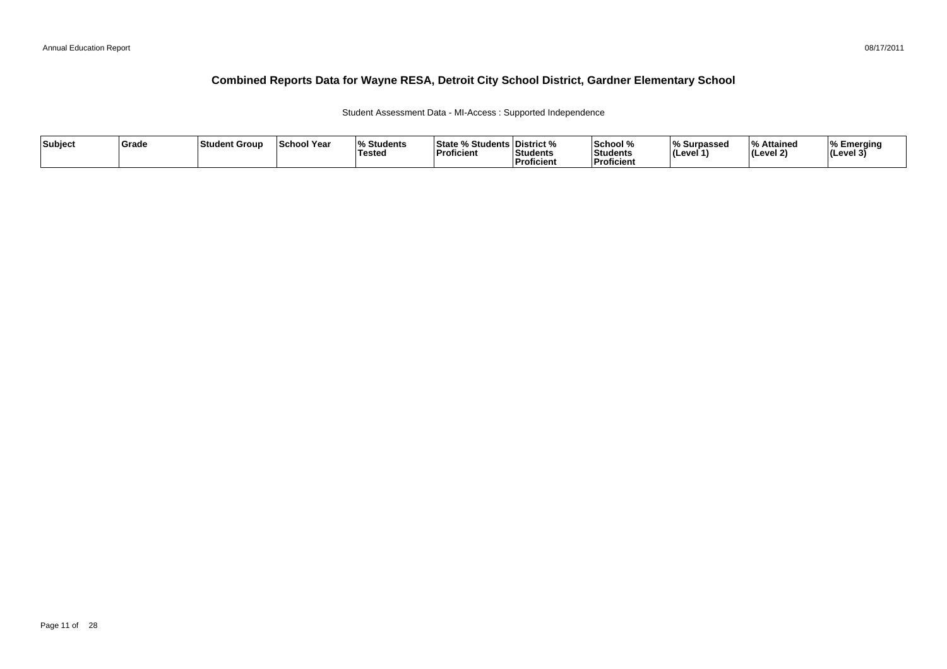Student Assessment Data - MI-Access : Supported Independence

| Subject | Grade | 'Student Group | <b>School Year</b> | % Students<br>Testea | % Students   District %<br>l State %<br>Proficient | Students<br><b>Proficient</b> | School %<br>Students<br><b>Proficien</b> | ∣% Surpassed<br>(Level 1) | $\mathbf{0}_{\alpha}$<br>Attained<br>(Level 2) | Emerging<br>$ $ (Level 3 <sup>'</sup> |
|---------|-------|----------------|--------------------|----------------------|----------------------------------------------------|-------------------------------|------------------------------------------|---------------------------|------------------------------------------------|---------------------------------------|
|---------|-------|----------------|--------------------|----------------------|----------------------------------------------------|-------------------------------|------------------------------------------|---------------------------|------------------------------------------------|---------------------------------------|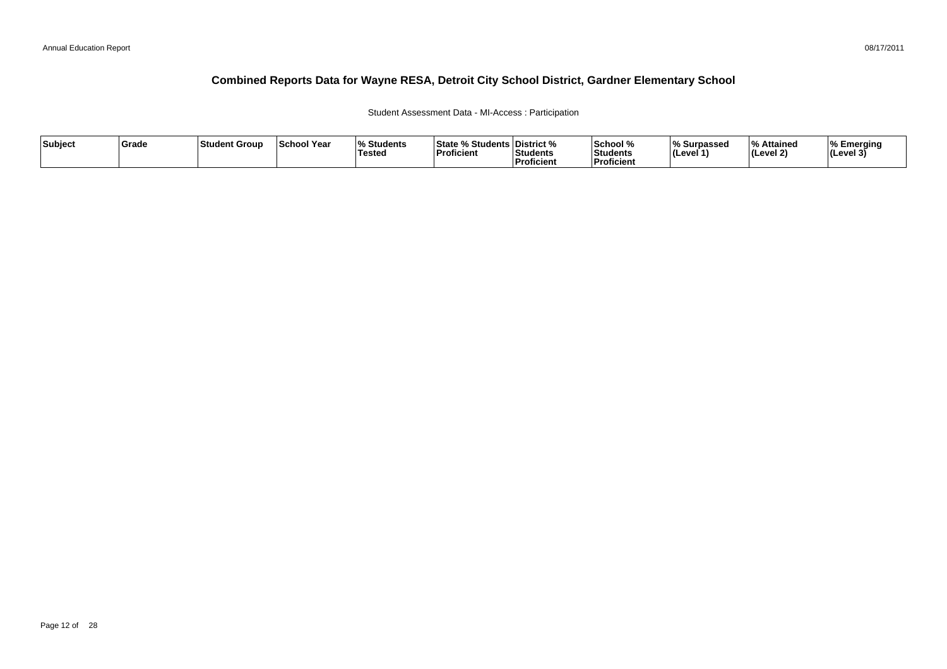### Student Assessment Data - MI-Access : Participation

| Subject | ∣Grade | <b>Student Group</b> | ∣School Year | $\mathbf{a}$<br>Students<br>'Tested | <sup>৹⁄</sup> Students ∟<br>State<br><b>Proficient</b> | ∣District %<br>Students<br><sup>'</sup> Proficient | School %<br>Students<br><b>Proficien</b> | % Surpassed<br>∣(Level 1` | $\overline{\mathbf{0}}$<br>% Attained<br>(Level 2) | Emerging<br> (Level 3 |
|---------|--------|----------------------|--------------|-------------------------------------|--------------------------------------------------------|----------------------------------------------------|------------------------------------------|---------------------------|----------------------------------------------------|-----------------------|
|---------|--------|----------------------|--------------|-------------------------------------|--------------------------------------------------------|----------------------------------------------------|------------------------------------------|---------------------------|----------------------------------------------------|-----------------------|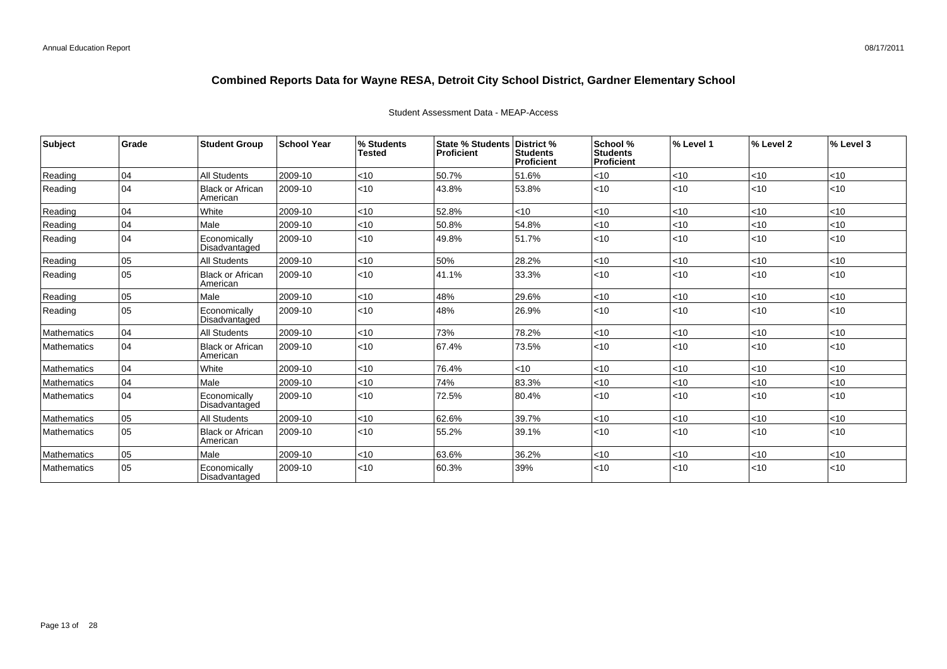| Subject            | Grade | <b>Student Group</b>          | <b>School Year</b> | % Students<br><b>Tested</b> | <b>State % Students</b><br>Proficient | District %<br><b>Students</b><br><b>Proficient</b> | School %<br>Students<br>Proficient | % Level 1 | % Level 2 | % Level 3 |
|--------------------|-------|-------------------------------|--------------------|-----------------------------|---------------------------------------|----------------------------------------------------|------------------------------------|-----------|-----------|-----------|
| Reading            | 04    | All Students                  | 2009-10            | <10                         | 50.7%                                 | 51.6%                                              | $<$ 10                             | <10       | $ $ < 10  | < 10      |
| Reading            | 04    | Black or African<br>American  | 2009-10            | $ $ < 10                    | 43.8%                                 | 53.8%                                              | < 10                               | $<$ 10    | $ $ < 10  | $<$ 10    |
| Reading            | 04    | White                         | 2009-10            | <10                         | 52.8%                                 | < 10                                               | <10                                | <10       | $ $ < 10  | <10       |
| Reading            | 04    | l Male                        | 2009-10            | <10                         | 50.8%                                 | 54.8%                                              | < 10                               | $<$ 10    | < 10      | $<$ 10    |
| Reading            | 04    | Economically<br>Disadvantaged | 2009-10            | $ $ < 10                    | 49.8%                                 | 51.7%                                              | < 10                               | $<$ 10    | $ $ < 10  | $<$ 10    |
| Reading            | 05    | All Students                  | 2009-10            | < 10                        | 50%                                   | 28.2%                                              | < 10                               | $<$ 10    | < 10      | $<$ 10    |
| Reading            | 05    | Black or African<br>American  | 2009-10            | $\vert$ < 10                | 41.1%                                 | 33.3%                                              | $10$                               | < 10      | $ $ < 10  | $<$ 10    |
| Reading            | 05    | Male                          | 2009-10            | <10                         | 48%                                   | 29.6%                                              | < 10                               | <10       | $ $ < 10  | < 10      |
| Reading            | 05    | Economically<br>Disadvantaged | 2009-10            | $ $ < 10                    | 48%                                   | 26.9%                                              | < 10                               | $<$ 10    | $ $ < 10  | $<$ 10    |
| <b>Mathematics</b> | 04    | <b>All Students</b>           | 2009-10            | $<10$                       | 73%                                   | 78.2%                                              | < 10                               | <10       | < 10      | < 10      |
| Mathematics        | 04    | Black or African<br>American  | 2009-10            | $\vert$ < 10                | 67.4%                                 | 73.5%                                              | < 10                               | < 10      | $ $ < 10  | $<$ 10    |
| <b>Mathematics</b> | 04    | White                         | 2009-10            | < 10                        | 76.4%                                 | < 10                                               | $<$ 10                             | $<$ 10    | < 10      | $<$ 10    |
| <b>Mathematics</b> | 04    | Male                          | 2009-10            | $<$ 10                      | 74%                                   | 83.3%                                              | < 10                               | <10       | < 10      | $<$ 10    |
| Mathematics        | 04    | Economically<br>Disadvantaged | 2009-10            | $ $ < 10                    | 72.5%                                 | 80.4%                                              | < 10                               | $<$ 10    | $ $ < 10  | $<$ 10    |
| <b>Mathematics</b> | 05    | <b>All Students</b>           | 2009-10            | < 10                        | 62.6%                                 | 39.7%                                              | < 10                               | <10       | $ $ < 10  | <10       |
| Mathematics        | 05    | Black or African<br>American  | 2009-10            | $ $ < 10                    | 55.2%                                 | 39.1%                                              | < 10                               | $<$ 10    | $ $ < 10  | $<$ 10    |
| Mathematics        | 05    | Male                          | 2009-10            | $<10$                       | 63.6%                                 | 36.2%                                              | < 10                               | <10       | < 10      | < 10      |
| <b>Mathematics</b> | 05    | Economically<br>Disadvantaged | 2009-10            | $ $ < 10                    | 60.3%                                 | 39%                                                | $<$ 10                             | $<$ 10    | $ $ < 10  | $<$ 10    |

### Student Assessment Data - MEAP-Access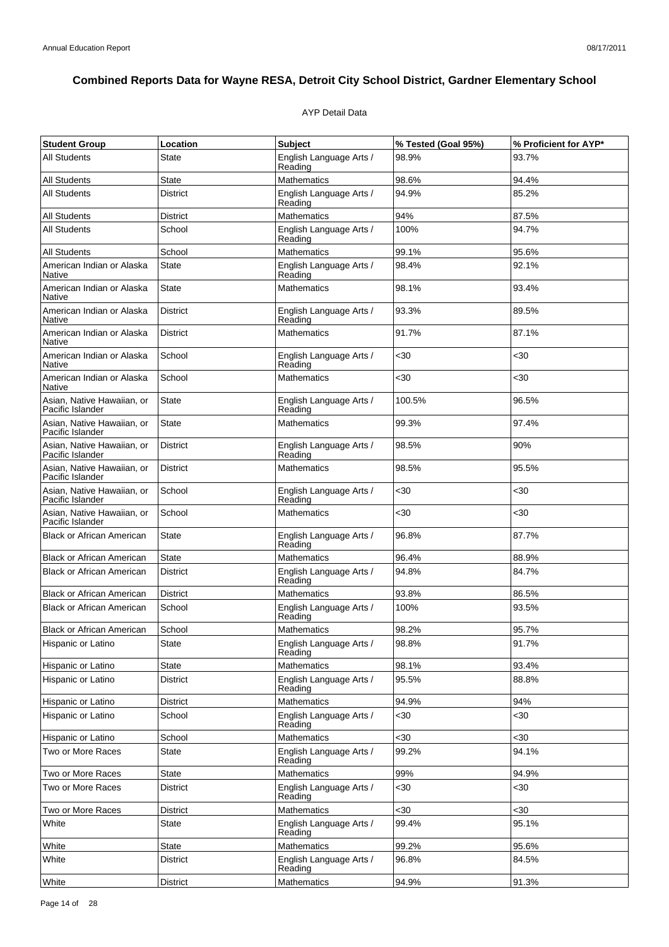## AYP Detail Data

| <b>Student Group</b>                           | Location        | <b>Subject</b>                     | % Tested (Goal 95%) | % Proficient for AYP* |
|------------------------------------------------|-----------------|------------------------------------|---------------------|-----------------------|
| All Students                                   | State           | English Language Arts /<br>Reading | 98.9%               | 93.7%                 |
| <b>All Students</b>                            | <b>State</b>    | Mathematics                        | 98.6%               | 94.4%                 |
| <b>All Students</b>                            | <b>District</b> | English Language Arts /<br>Reading | 94.9%               | 85.2%                 |
| <b>All Students</b>                            | <b>District</b> | Mathematics                        | 94%                 | 87.5%                 |
| All Students                                   | School          | English Language Arts /<br>Reading | 100%                | 94.7%                 |
| <b>All Students</b>                            | School          | Mathematics                        | 99.1%               | 95.6%                 |
| American Indian or Alaska<br>Native            | <b>State</b>    | English Language Arts /<br>Reading | 98.4%               | 92.1%                 |
| American Indian or Alaska<br>Native            | <b>State</b>    | <b>Mathematics</b>                 | 98.1%               | 93.4%                 |
| American Indian or Alaska<br>Native            | <b>District</b> | English Language Arts /<br>Reading | 93.3%               | 89.5%                 |
| American Indian or Alaska<br>Native            | <b>District</b> | <b>Mathematics</b>                 | 91.7%               | 87.1%                 |
| American Indian or Alaska<br>Native            | School          | English Language Arts /<br>Reading | <30                 | <30                   |
| American Indian or Alaska<br>Native            | School          | Mathematics                        | <30                 | $30$                  |
| Asian, Native Hawaiian, or<br>Pacific Islander | <b>State</b>    | English Language Arts /<br>Reading | 100.5%              | 96.5%                 |
| Asian, Native Hawaiian, or<br>Pacific Islander | <b>State</b>    | <b>Mathematics</b>                 | 99.3%               | 97.4%                 |
| Asian, Native Hawaiian, or<br>Pacific Islander | <b>District</b> | English Language Arts /<br>Reading | 98.5%               | 90%                   |
| Asian, Native Hawaiian, or<br>Pacific Islander | <b>District</b> | <b>Mathematics</b>                 | 98.5%               | 95.5%                 |
| Asian, Native Hawaiian, or<br>Pacific Islander | School          | English Language Arts /<br>Reading | <30                 | <30                   |
| Asian, Native Hawaiian, or<br>Pacific Islander | School          | <b>Mathematics</b>                 | <30                 | $30$                  |
| <b>Black or African American</b>               | State           | English Language Arts /<br>Reading | 96.8%               | 87.7%                 |
| <b>Black or African American</b>               | <b>State</b>    | Mathematics                        | 96.4%               | 88.9%                 |
| <b>Black or African American</b>               | <b>District</b> | English Language Arts /<br>Reading | 94.8%               | 84.7%                 |
| <b>Black or African American</b>               | <b>District</b> | Mathematics                        | 93.8%               | 86.5%                 |
| <b>Black or African American</b>               | School          | English Language Arts /<br>Reading | 100%                | 93.5%                 |
| <b>Black or African American</b>               | School          | <b>Mathematics</b>                 | 98.2%               | 95.7%                 |
| Hispanic or Latino                             | <b>State</b>    | English Language Arts /<br>Reading | 98.8%               | 91.7%                 |
| Hispanic or Latino                             | <b>State</b>    | <b>Mathematics</b>                 | 98.1%               | 93.4%                 |
| Hispanic or Latino                             | <b>District</b> | English Language Arts /<br>Reading | 95.5%               | 88.8%                 |
| Hispanic or Latino                             | <b>District</b> | <b>Mathematics</b>                 | 94.9%               | 94%                   |
| Hispanic or Latino                             | School          | English Language Arts /<br>Reading | <30                 | <30                   |
| Hispanic or Latino                             | School          | <b>Mathematics</b>                 | $30$                | <30                   |
| Two or More Races                              | <b>State</b>    | English Language Arts /<br>Reading | 99.2%               | 94.1%                 |
| Two or More Races                              | <b>State</b>    | <b>Mathematics</b>                 | 99%                 | 94.9%                 |
| Two or More Races                              | <b>District</b> | English Language Arts /<br>Reading | $30$                | <30                   |
| Two or More Races                              | <b>District</b> | <b>Mathematics</b>                 | $30$                | <30                   |
| White                                          | State           | English Language Arts /<br>Reading | 99.4%               | 95.1%                 |
| White                                          | State           | <b>Mathematics</b>                 | 99.2%               | 95.6%                 |
| White                                          | District        | English Language Arts /<br>Reading | 96.8%               | 84.5%                 |
| White                                          | <b>District</b> | Mathematics                        | 94.9%               | 91.3%                 |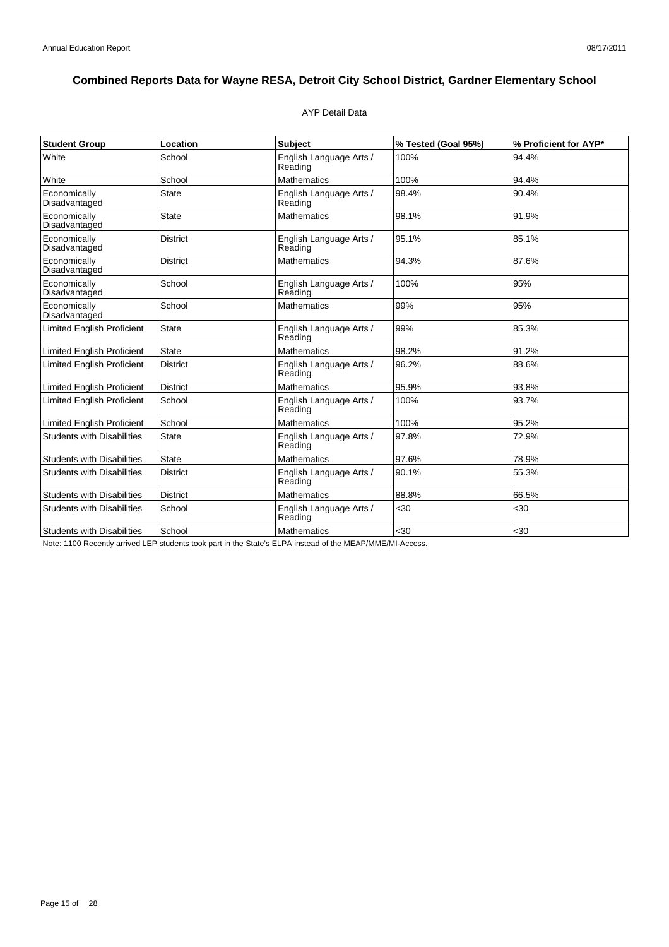### AYP Detail Data

| <b>Student Group</b>              | Location        | <b>Subject</b>                     | % Tested (Goal 95%) | % Proficient for AYP* |
|-----------------------------------|-----------------|------------------------------------|---------------------|-----------------------|
| White                             | School          | English Language Arts /<br>Reading | 100%                | 94.4%                 |
| White                             | School          | <b>Mathematics</b>                 | 100%                | 94.4%                 |
| Economically<br>Disadvantaged     | <b>State</b>    | English Language Arts /<br>Reading | 98.4%               | 90.4%                 |
| Economically<br>Disadvantaged     | <b>State</b>    | <b>Mathematics</b>                 | 98.1%               | 91.9%                 |
| Economically<br>Disadvantaged     | <b>District</b> | English Language Arts /<br>Reading | 95.1%               | 85.1%                 |
| Economically<br>Disadvantaged     | <b>District</b> | <b>Mathematics</b>                 | 94.3%               | 87.6%                 |
| Economically<br>Disadvantaged     | School          | English Language Arts /<br>Reading | 100%                | 95%                   |
| Economically<br>Disadvantaged     | School          | <b>Mathematics</b>                 | 99%                 | 95%                   |
| <b>Limited English Proficient</b> | <b>State</b>    | English Language Arts /<br>Reading | 99%                 | 85.3%                 |
| <b>Limited English Proficient</b> | State           | <b>Mathematics</b>                 | 98.2%               | 91.2%                 |
| <b>Limited English Proficient</b> | <b>District</b> | English Language Arts /<br>Reading | 96.2%               | 88.6%                 |
| <b>Limited English Proficient</b> | <b>District</b> | <b>Mathematics</b>                 | 95.9%               | 93.8%                 |
| <b>Limited English Proficient</b> | School          | English Language Arts /<br>Reading | 100%                | 93.7%                 |
| <b>Limited English Proficient</b> | School          | <b>Mathematics</b>                 | 100%                | 95.2%                 |
| <b>Students with Disabilities</b> | <b>State</b>    | English Language Arts /<br>Reading | 97.8%               | 72.9%                 |
| <b>Students with Disabilities</b> | State           | Mathematics                        | 97.6%               | 78.9%                 |
| <b>Students with Disabilities</b> | <b>District</b> | English Language Arts /<br>Reading | 90.1%               | 55.3%                 |
| <b>Students with Disabilities</b> | <b>District</b> | <b>Mathematics</b>                 | 88.8%               | 66.5%                 |
| <b>Students with Disabilities</b> | School          | English Language Arts /<br>Reading | <30                 | <30                   |
| <b>Students with Disabilities</b> | School          | <b>Mathematics</b>                 | <30                 | $30$                  |

Note: 1100 Recently arrived LEP students took part in the State's ELPA instead of the MEAP/MME/MI-Access.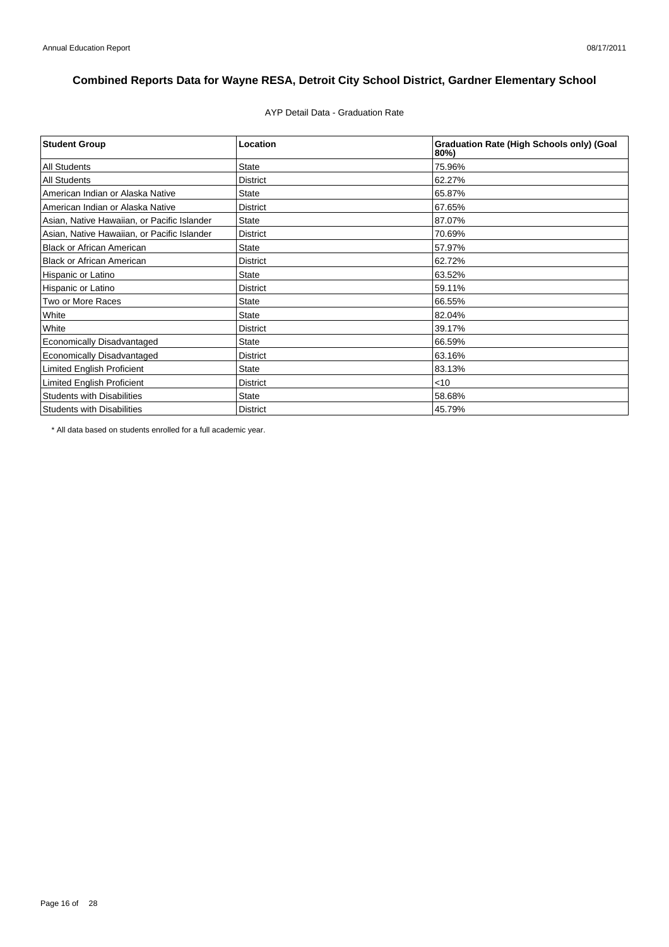AYP Detail Data - Graduation Rate

| <b>Student Group</b>                        | Location        | <b>Graduation Rate (High Schools only) (Goal</b><br>80%) |
|---------------------------------------------|-----------------|----------------------------------------------------------|
| <b>All Students</b>                         | <b>State</b>    | 75.96%                                                   |
| <b>All Students</b>                         | <b>District</b> | 62.27%                                                   |
| American Indian or Alaska Native            | <b>State</b>    | 65.87%                                                   |
| American Indian or Alaska Native            | <b>District</b> | 67.65%                                                   |
| Asian, Native Hawaiian, or Pacific Islander | <b>State</b>    | 87.07%                                                   |
| Asian, Native Hawaiian, or Pacific Islander | <b>District</b> | 70.69%                                                   |
| <b>Black or African American</b>            | <b>State</b>    | 57.97%                                                   |
| <b>Black or African American</b>            | <b>District</b> | 62.72%                                                   |
| Hispanic or Latino                          | <b>State</b>    | 63.52%                                                   |
| Hispanic or Latino                          | <b>District</b> | 59.11%                                                   |
| Two or More Races                           | <b>State</b>    | 66.55%                                                   |
| White                                       | <b>State</b>    | 82.04%                                                   |
| White                                       | <b>District</b> | 39.17%                                                   |
| <b>Economically Disadvantaged</b>           | <b>State</b>    | 66.59%                                                   |
| Economically Disadvantaged                  | <b>District</b> | 63.16%                                                   |
| <b>Limited English Proficient</b>           | <b>State</b>    | 83.13%                                                   |
| <b>Limited English Proficient</b>           | <b>District</b> | $<$ 10                                                   |
| <b>Students with Disabilities</b>           | <b>State</b>    | 58.68%                                                   |
| <b>Students with Disabilities</b>           | <b>District</b> | 45.79%                                                   |

\* All data based on students enrolled for a full academic year.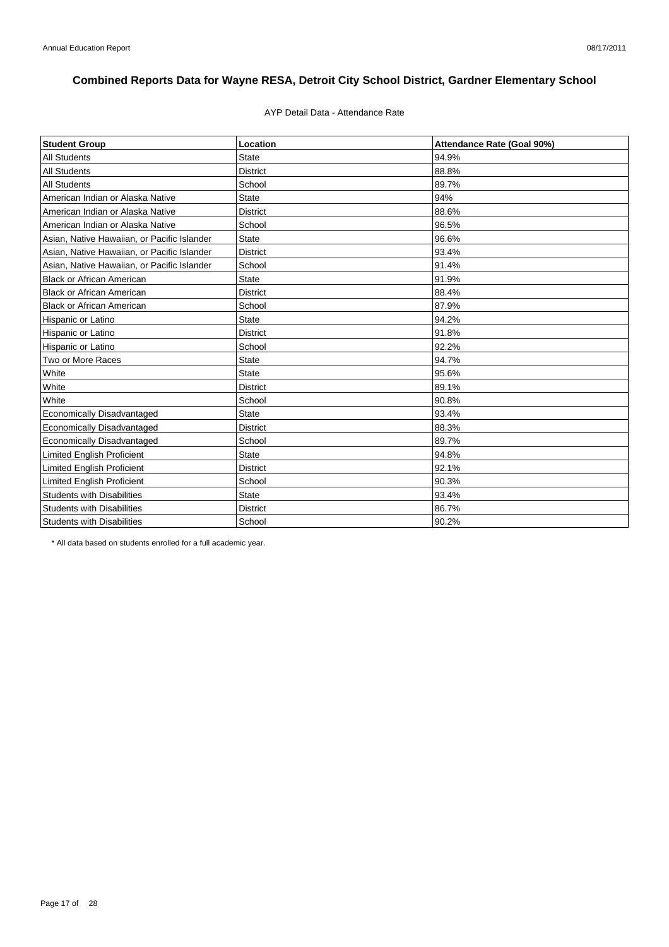### AYP Detail Data - Attendance Rate

| <b>Student Group</b>                        | Location        | Attendance Rate (Goal 90%) |
|---------------------------------------------|-----------------|----------------------------|
| <b>All Students</b>                         | <b>State</b>    | 94.9%                      |
| <b>All Students</b>                         | <b>District</b> | 88.8%                      |
| <b>All Students</b>                         | School          | 89.7%                      |
| American Indian or Alaska Native            | <b>State</b>    | 94%                        |
| American Indian or Alaska Native            | <b>District</b> | 88.6%                      |
| American Indian or Alaska Native            | School          | 96.5%                      |
| Asian, Native Hawaiian, or Pacific Islander | <b>State</b>    | 96.6%                      |
| Asian, Native Hawaiian, or Pacific Islander | <b>District</b> | 93.4%                      |
| Asian, Native Hawaiian, or Pacific Islander | School          | 91.4%                      |
| <b>Black or African American</b>            | <b>State</b>    | 91.9%                      |
| <b>Black or African American</b>            | <b>District</b> | 88.4%                      |
| <b>Black or African American</b>            | School          | 87.9%                      |
| Hispanic or Latino                          | <b>State</b>    | 94.2%                      |
| Hispanic or Latino                          | <b>District</b> | 91.8%                      |
| Hispanic or Latino                          | School          | 92.2%                      |
| Two or More Races                           | <b>State</b>    | 94.7%                      |
| White                                       | <b>State</b>    | 95.6%                      |
| White                                       | <b>District</b> | 89.1%                      |
| White                                       | School          | 90.8%                      |
| <b>Economically Disadvantaged</b>           | <b>State</b>    | 93.4%                      |
| <b>Economically Disadvantaged</b>           | <b>District</b> | 88.3%                      |
| <b>Economically Disadvantaged</b>           | School          | 89.7%                      |
| Limited English Proficient                  | <b>State</b>    | 94.8%                      |
| Limited English Proficient                  | <b>District</b> | 92.1%                      |
| <b>Limited English Proficient</b>           | School          | 90.3%                      |
| <b>Students with Disabilities</b>           | <b>State</b>    | 93.4%                      |
| <b>Students with Disabilities</b>           | <b>District</b> | 86.7%                      |
| <b>Students with Disabilities</b>           | School          | 90.2%                      |

\* All data based on students enrolled for a full academic year.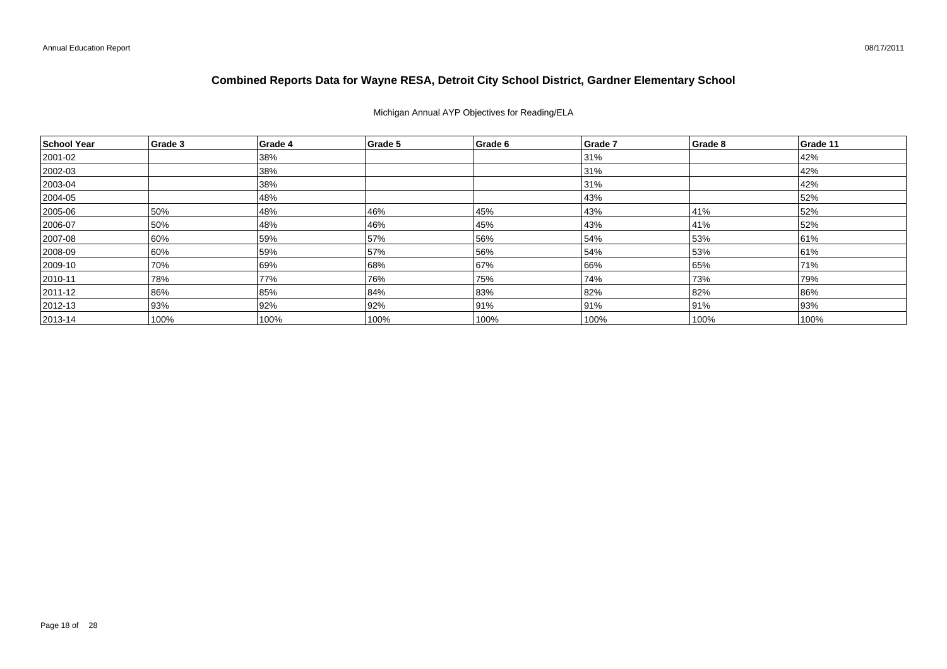Michigan Annual AYP Objectives for Reading/ELA

| School Year  | Grade 3 | Grade 4 | Grade 5 | Grade 6 | Grade 7 | Grade 8 | Grade 11 |
|--------------|---------|---------|---------|---------|---------|---------|----------|
| 2001-02      |         | 38%     |         |         | 31%     |         | 42%      |
| 2002-03      |         | 38%     |         |         | 31%     |         | 42%      |
| $ 2003 - 04$ |         | 38%     |         |         | 31%     |         | 42%      |
| 2004-05      |         | 48%     |         |         | 43%     |         | 52%      |
| 2005-06      | 50%     | 48%     | 46%     | 45%     | 43%     | 41%     | 52%      |
| 2006-07      | 50%     | 48%     | 46%     | 45%     | 43%     | 41%     | 52%      |
| 2007-08      | 60%     | 59%     | 57%     | 56%     | 54%     | 53%     | 61%      |
| 2008-09      | 60%     | 59%     | 57%     | 56%     | 54%     | 53%     | 61%      |
| 2009-10      | 70%     | 69%     | 68%     | 67%     | 66%     | 65%     | 71%      |
| $ 2010 - 11$ | 78%     | 77%     | 76%     | 75%     | 74%     | 73%     | 79%      |
| 2011-12      | 86%     | 85%     | 84%     | 83%     | 82%     | 82%     | 86%      |
| $ 2012 - 13$ | 93%     | 92%     | 92%     | 91%     | 91%     | 91%     | 93%      |
| $ 2013 - 14$ | 100%    | 100%    | 100%    | 100%    | 100%    | 100%    | 100%     |

08/17/2011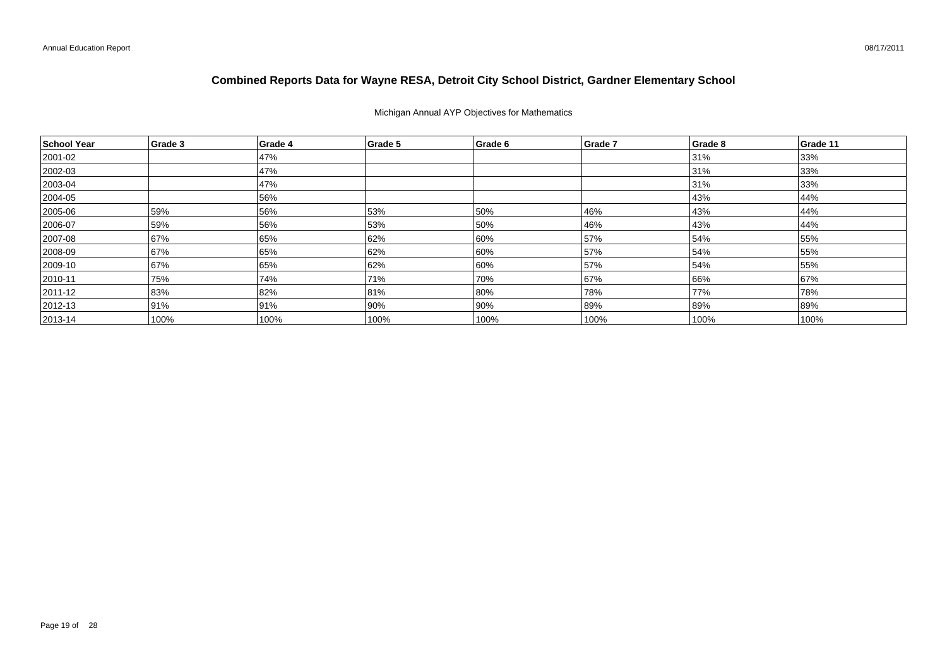## Michigan Annual AYP Objectives for Mathematics

| School Year   | Grade 3 | Grade 4 | Grade 5 | Grade 6 | Grade 7 | Grade 8 | Grade 11 |
|---------------|---------|---------|---------|---------|---------|---------|----------|
| 2001-02       |         | 47%     |         |         |         | 31%     | 33%      |
| 2002-03       |         | 47%     |         |         |         | 31%     | 33%      |
| $ 2003 - 04$  |         | 47%     |         |         |         | 31%     | 33%      |
| 2004-05       |         | 56%     |         |         |         | 43%     | 44%      |
| $ 2005 - 06$  | 59%     | 56%     | 53%     | 50%     | 46%     | 43%     | 44%      |
| 2006-07       | 59%     | 56%     | 53%     | 50%     | 46%     | 43%     | 44%      |
| 2007-08       | 67%     | 65%     | 62%     | 60%     | 57%     | 54%     | 55%      |
| 2008-09       | 67%     | 65%     | 62%     | 60%     | 57%     | 54%     | 55%      |
| 2009-10       | 67%     | 65%     | 62%     | 60%     | 57%     | 54%     | 55%      |
| $ 2010 - 11$  | 75%     | 74%     | 71%     | 70%     | 67%     | 66%     | 67%      |
| 2011-12       | 83%     | 82%     | 81%     | 80%     | 78%     | 77%     | 78%      |
| $ 2012 - 13$  | 91%     | 91%     | 90%     | 90%     | 89%     | 89%     | 89%      |
| $ 2013 - 14 $ | 100%    | 100%    | 100%    | 100%    | 100%    | 100%    | 100%     |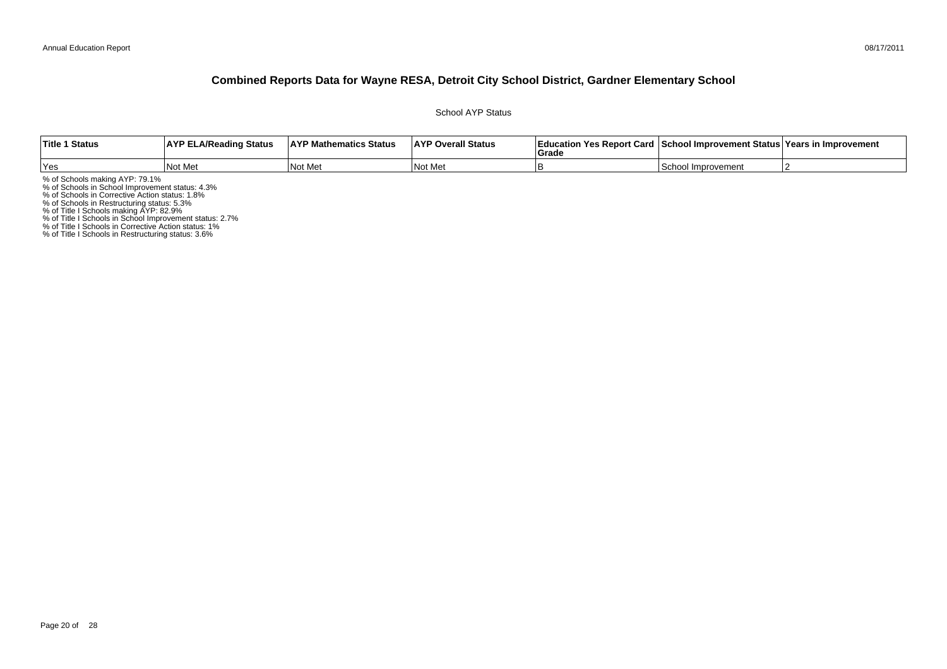School AYP Status

| <b>Title 1 Status</b> | <b>AYP ELA/Reading Status</b> | <b>AYP Mathematics Status</b> | <b>AYP Overall Status</b> | <b>Education Yes Report Card</b><br>Grade | ! ⊺School Improvement Status⊺Years in Improvement |  |
|-----------------------|-------------------------------|-------------------------------|---------------------------|-------------------------------------------|---------------------------------------------------|--|
| Yes                   | Not Me                        | Not Me                        | <b>INot Met</b>           |                                           | School<br>Improvement                             |  |

% of Schools making AYP: 79.1%<br>% of Schools in School Improvement status: 4.3%<br>% of Schools in Corrective Action status: 1.8%<br>% of Schools in Restructuring status: 5.3%<br>% of Title I Schools in School Improvement status: 2.

% of Title I Schools in Restructuring status: 3.6%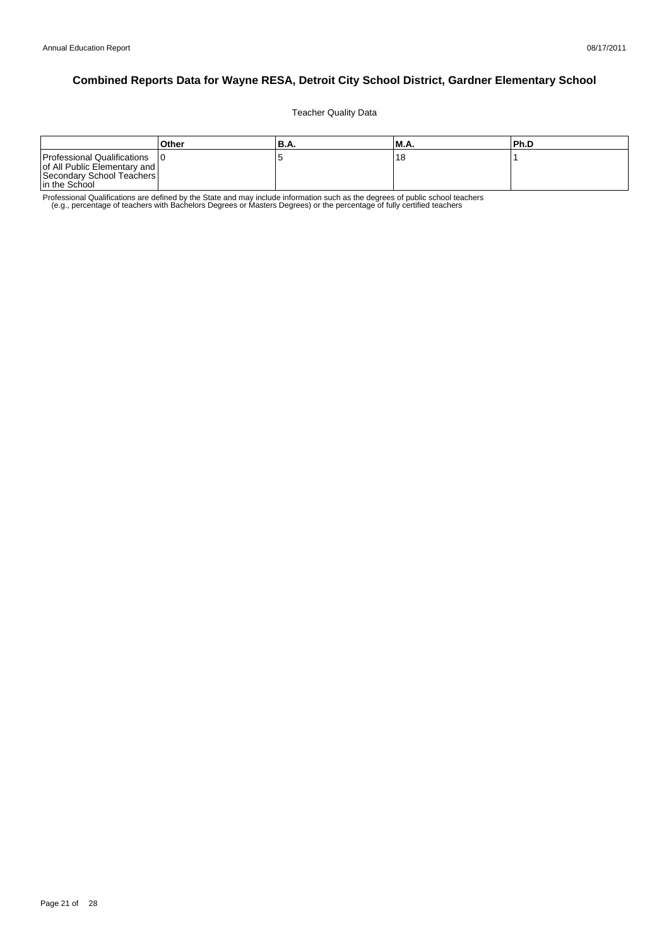Teacher Quality Data

|                                                                                                             | Other | 'B.A. | <b>M.A.</b> | l Ph.D |
|-------------------------------------------------------------------------------------------------------------|-------|-------|-------------|--------|
| Professional Qualifications<br>of All Public Elementary and  <br>Secondary School Teachers<br>In the School |       |       | ،8          |        |

Professional Qualifications are defined by the State and may include information such as the degrees of public school teachers<br>e.g., percentage of teachers with Bachelors Degrees or Masters Degrees) or the percentage of fu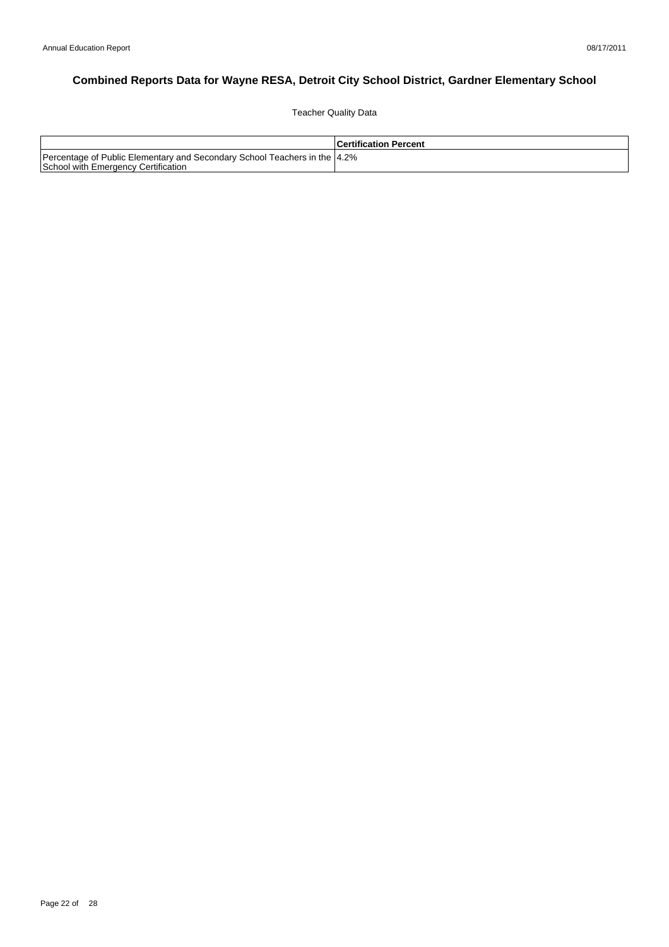Teacher Quality Data

|                                                                                                                   | <b>Certification Percent</b> |
|-------------------------------------------------------------------------------------------------------------------|------------------------------|
| Percentage of Public Elementary and Secondary School Teachers in the 14.2%<br>School with Emergency Certification |                              |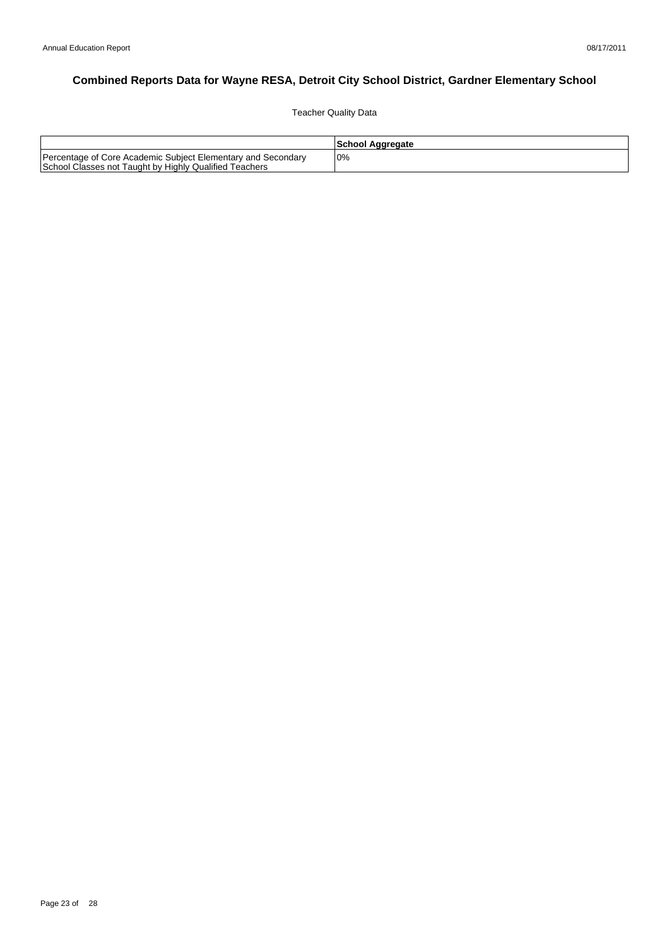Teacher Quality Data

|                                                                                                                        | School Aggregate |
|------------------------------------------------------------------------------------------------------------------------|------------------|
| Percentage of Core Academic Subject Elementary and Secondary<br>School Classes not Taught by Highly Qualified Teachers | 0%               |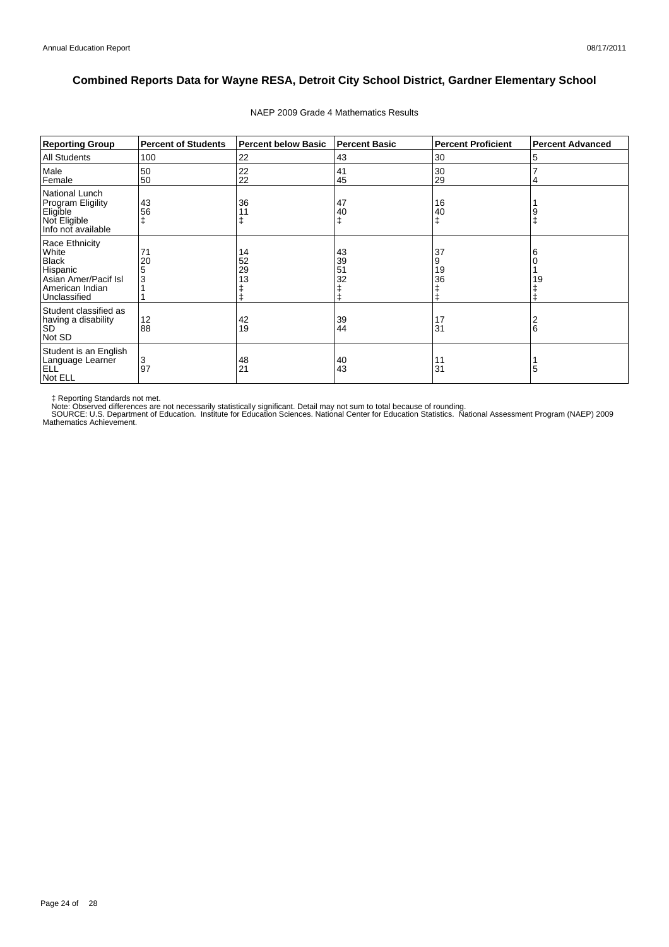| <b>Reporting Group</b>                                                                                         | <b>Percent of Students</b> | <b>Percent below Basic</b> | <b>Percent Basic</b> | <b>Percent Proficient</b> | <b>Percent Advanced</b> |
|----------------------------------------------------------------------------------------------------------------|----------------------------|----------------------------|----------------------|---------------------------|-------------------------|
| <b>All Students</b>                                                                                            | 100                        | 22                         | 43                   | 30                        | 5                       |
| Male<br>Female                                                                                                 | 50<br>50                   | 22<br>22                   | 41<br>45             | 30<br>29                  |                         |
| National Lunch<br><b>Program Eligility</b><br>Eligible<br>Not Eligible<br>Info not available                   | 43<br>56                   | 36                         | 47<br>40<br>ŧ        | 16<br>40                  |                         |
| Race Ethnicity<br>White<br><b>Black</b><br>Hispanic<br>Asian Amer/Pacif Isl<br>American Indian<br>Unclassified | 71<br>20<br>5<br>3         | 14<br>52<br>29<br>13       | 43<br>39<br>51<br>32 | 37<br>9<br>19<br>36       | 19                      |
| Student classified as<br>having a disability<br><b>SD</b><br>Not SD                                            | 12<br>88                   | 42<br>19                   | 39<br>44             | 17<br>31                  | 6                       |
| Student is an English<br>Language Learner<br><b>ELL</b><br>Not ELL                                             | 3<br>97                    | 48<br>21                   | 40<br>43             | 11<br>31                  | 5                       |

#### NAEP 2009 Grade 4 Mathematics Results

‡ Reporting Standards not met.<br>Note: Observed differences are not necessarily statistically significant. Detail may not sum to total because of rounding.<br>SOURCE: U.S. Department of Education. Institute for Education Scien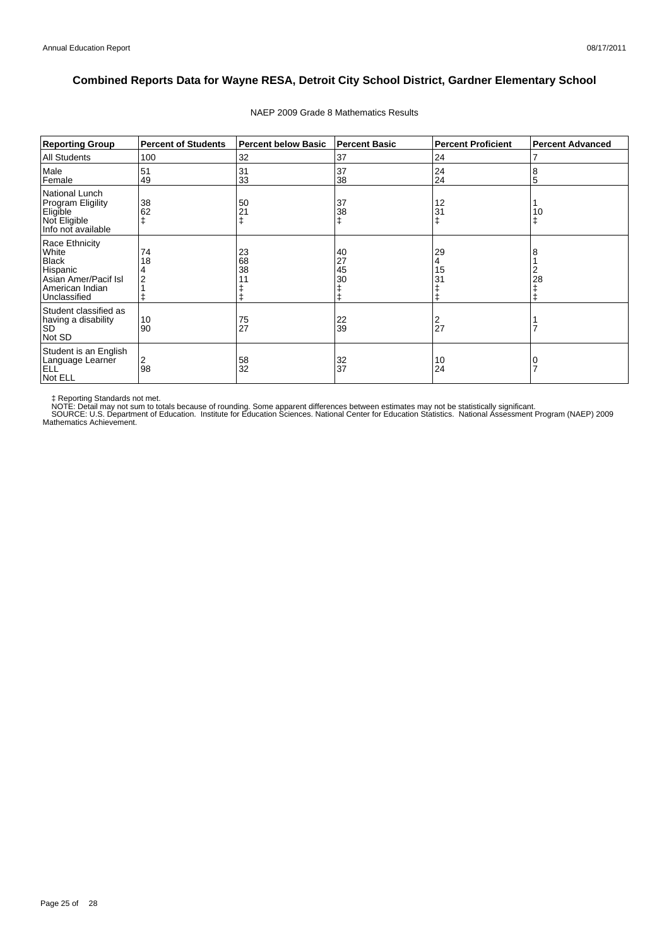| <b>Reporting Group</b>                                                                                         | <b>Percent of Students</b> | <b>Percent below Basic</b> | <b>Percent Basic</b> | <b>Percent Proficient</b> | <b>Percent Advanced</b> |
|----------------------------------------------------------------------------------------------------------------|----------------------------|----------------------------|----------------------|---------------------------|-------------------------|
| <b>All Students</b>                                                                                            | 100                        | 32                         | 37                   | 24                        |                         |
| Male<br>Female                                                                                                 | 51<br>49                   | 31<br>33                   | 37<br>38             | 24<br>24                  | 8<br>5                  |
| National Lunch<br><b>Program Eligility</b><br>Eligible<br>Not Eligible<br>Info not available                   | 38<br>62                   | 50<br>21                   | 37<br>38<br>ŧ        | 12<br>31                  | 10                      |
| Race Ethnicity<br>White<br><b>Black</b><br>Hispanic<br>Asian Amer/Pacif Isl<br>American Indian<br>Unclassified | 74<br>18                   | 23<br>68<br>38             | 40<br>27<br>45<br>30 | 29<br>4<br>15<br>31       | 28                      |
| Student classified as<br>having a disability<br><b>SD</b><br>Not SD                                            | 10<br>90                   | 75<br>27                   | 22<br>39             | 2<br>27                   |                         |
| Student is an English<br>Language Learner<br><b>ELL</b><br>Not ELL                                             | 2<br>98                    | 58<br>32                   | 32<br>37             | 10<br>24                  |                         |

#### NAEP 2009 Grade 8 Mathematics Results

‡ Reporting Standards not met.<br>NOTE: Detail may not sum to totals because of rounding. Some apparent differences between estimates may not be statistically significant.<br>NOTE: Detail may not sum to totals because of roundin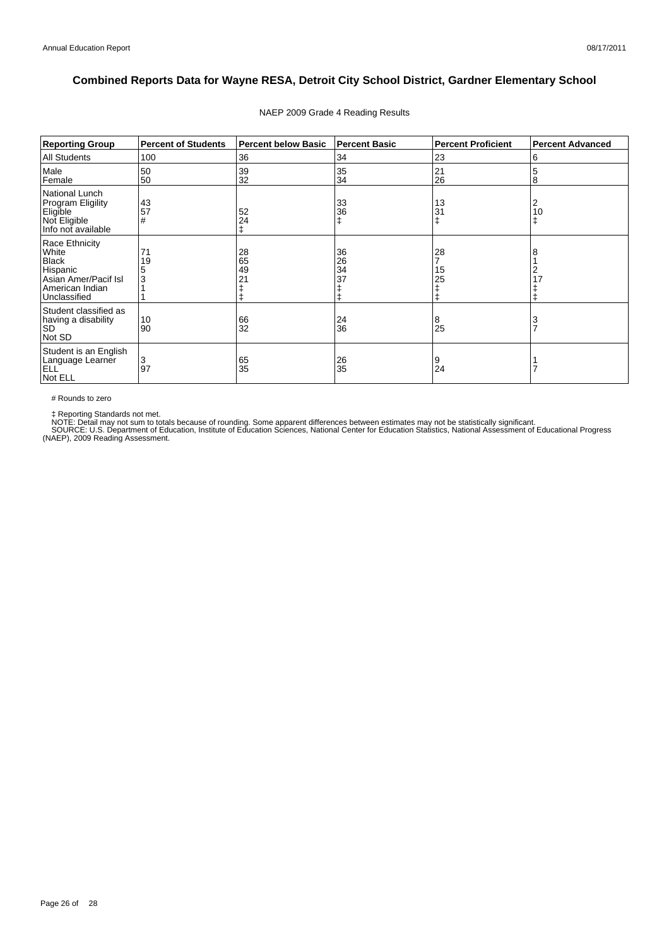| <b>Reporting Group</b>                                                                                         | <b>Percent of Students</b> | <b>Percent below Basic</b> | <b>Percent Basic</b> | <b>Percent Proficient</b> | <b>Percent Advanced</b> |
|----------------------------------------------------------------------------------------------------------------|----------------------------|----------------------------|----------------------|---------------------------|-------------------------|
| All Students                                                                                                   | 100                        | 36                         | 34                   | 23                        | 6                       |
| Male<br>Female                                                                                                 | 50<br>50                   | 39<br>32                   | 35<br>34             | 21<br>26                  | 5<br>8                  |
| National Lunch<br>Program Eligility<br>Eligible<br>Not Eligible<br>Info not available                          | 43<br>57<br>#              | 52<br>24                   | 33<br>36<br>ŧ        | 13<br>31                  | 2<br>10<br>ŧ            |
| Race Ethnicity<br>White<br><b>Black</b><br>Hispanic<br>Asian Amer/Pacif Isl<br>American Indian<br>Unclassified | 71<br>19<br>3              | 28<br>65<br>49<br>21       | 36<br>26<br>34<br>37 | 28<br>15<br>25            | 8<br>2<br>17            |
| Student classified as<br>having a disability<br><b>SD</b><br>Not SD                                            | 10<br>90                   | 66<br>32                   | 24<br>36             | 8<br>25                   | 3<br>$\overline{7}$     |
| Student is an English<br>Language Learner<br>ELL <sup>'</sup><br>Not ELL                                       | 3<br>97                    | 65<br>35                   | 26<br>35             | 9<br>24                   |                         |

#### NAEP 2009 Grade 4 Reading Results

# Rounds to zero

‡ Reporting Standards not met.<br>NOTE: Detail may not sum to totals because of rounding. Some apparent differences between estimates may not be statistically significant.<br>SOURCE: U.S. Department of Education, Institute of Ed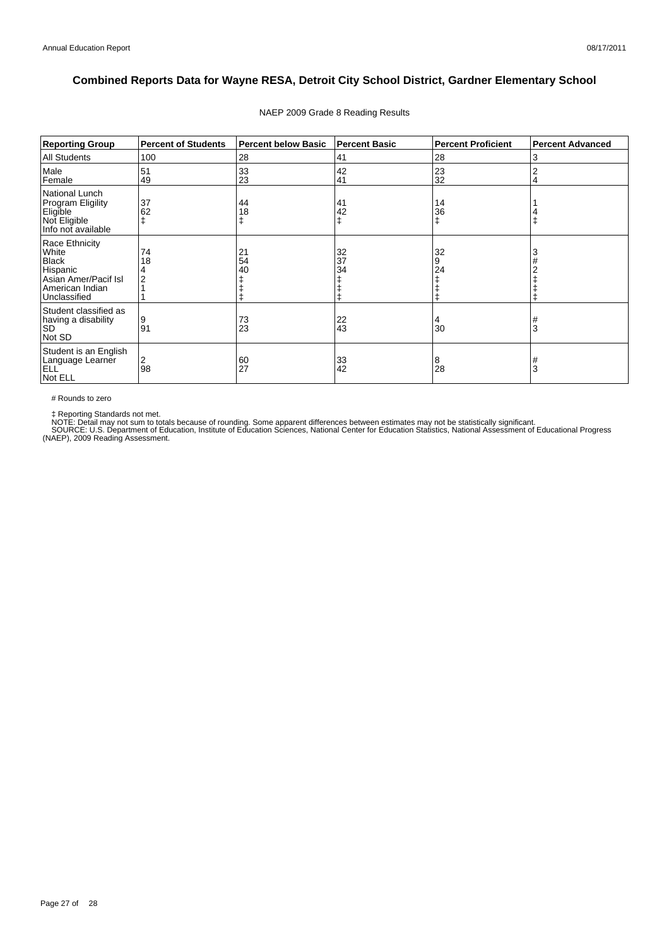| <b>Reporting Group</b>                                                                                         | <b>Percent of Students</b> | <b>Percent below Basic</b> | <b>Percent Basic</b> | <b>Percent Proficient</b> | <b>Percent Advanced</b> |
|----------------------------------------------------------------------------------------------------------------|----------------------------|----------------------------|----------------------|---------------------------|-------------------------|
| <b>All Students</b>                                                                                            | 100                        | 28                         | 41                   | 28                        | 3                       |
| Male<br>Female                                                                                                 | 51<br>49                   | 33<br>23                   | 42<br>41             | 23<br>32                  | ۷                       |
| <b>National Lunch</b><br>Program Eligility<br>Eligible<br>Not Eligible<br>Info not available                   | 37<br>62                   | 44<br>18                   | 41<br>42             | 14<br>36<br>ŧ             |                         |
| Race Ethnicity<br>White<br><b>Black</b><br>Hispanic<br>Asian Amer/Pacif Isl<br>American Indian<br>Unclassified | 74<br>18                   | 21<br>54<br>40             | 32<br>37<br>34       | 32<br>9<br>24             |                         |
| Student classified as<br>having a disability<br><b>SD</b><br>Not SD                                            | 9<br>91                    | 73<br>23                   | $^{22}_{43}$         | 4<br>30                   | #<br>3                  |
| Student is an English<br>Language Learner<br>ELL <sup>'</sup><br>Not ELL                                       | 2<br>98                    | 60<br>27                   | 33<br>42             | 8<br>28                   | 3                       |

#### NAEP 2009 Grade 8 Reading Results

# Rounds to zero

‡ Reporting Standards not met.<br>NOTE: Detail may not sum to totals because of rounding. Some apparent differences between estimates may not be statistically significant.<br>SOURCE: U.S. Department of Education, Institute of Ed